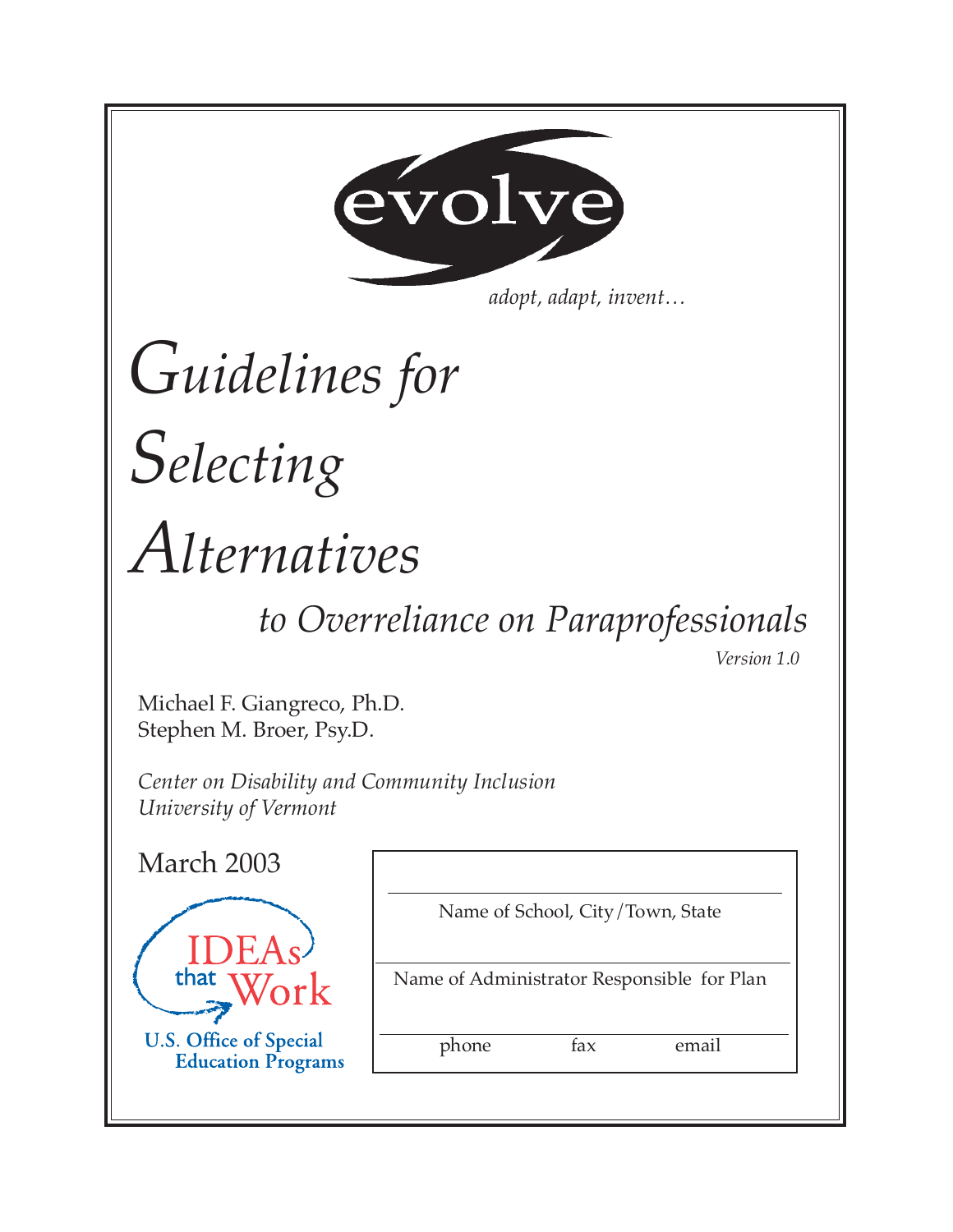

*adopt, adapt, invent…*

# *Guidelines for*

# *Selecting*

# *Alternatives*

# *to Overreliance on Paraprofessionals*

*Version 1.0*

Michael F. Giangreco, Ph.D. Stephen M. Broer, Psy.D.

*Center on Disability and Community Inclusion University of Vermont*

| Name of School, City/Town, State           |
|--------------------------------------------|
| Name of Administrator Responsible for Plan |
| fax<br>email<br>phone                      |
|                                            |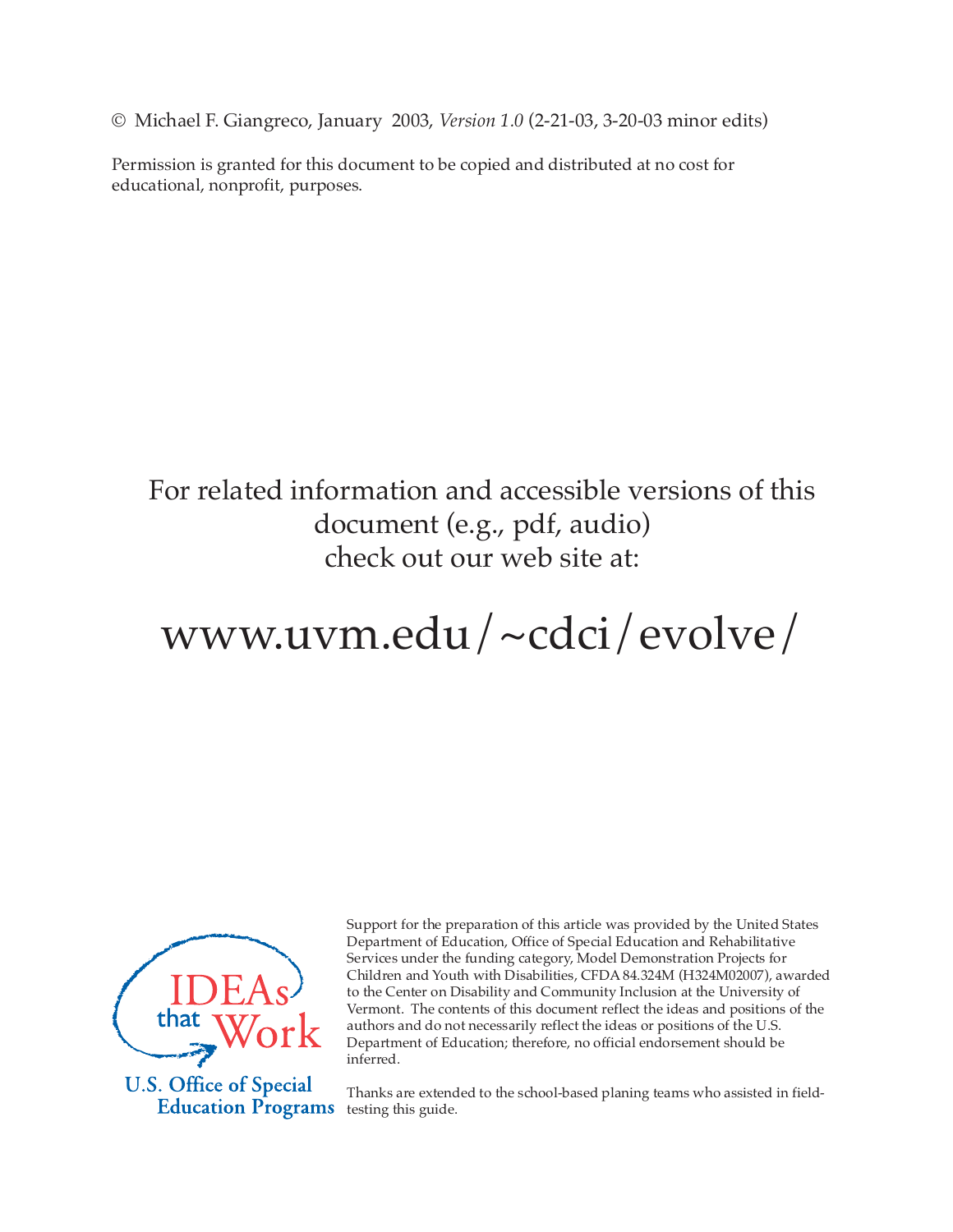© Michael F. Giangreco, January 2003, *Version 1.0* (2-21-03, 3-20-03 minor edits)

Permission is granted for this document to be copied and distributed at no cost for educational, nonprofit, purposes.

## For related information and accessible versions of this document (e.g., pdf, audio) check out our web site at:

# www.uvm.edu/~cdci/evolve/



**U.S. Office of Special Education Programs** 

Support for the preparation of this article was provided by the United States Department of Education, Office of Special Education and Rehabilitative Services under the funding category, Model Demonstration Projects for Children and Youth with Disabilities, CFDA 84.324M (H324M02007), awarded to the Center on Disability and Community Inclusion at the University of Vermont. The contents of this document reflect the ideas and positions of the authors and do not necessarily reflect the ideas or positions of the U.S. Department of Education; therefore, no official endorsement should be inferred.

Thanks are extended to the school-based planing teams who assisted in fieldtesting this guide.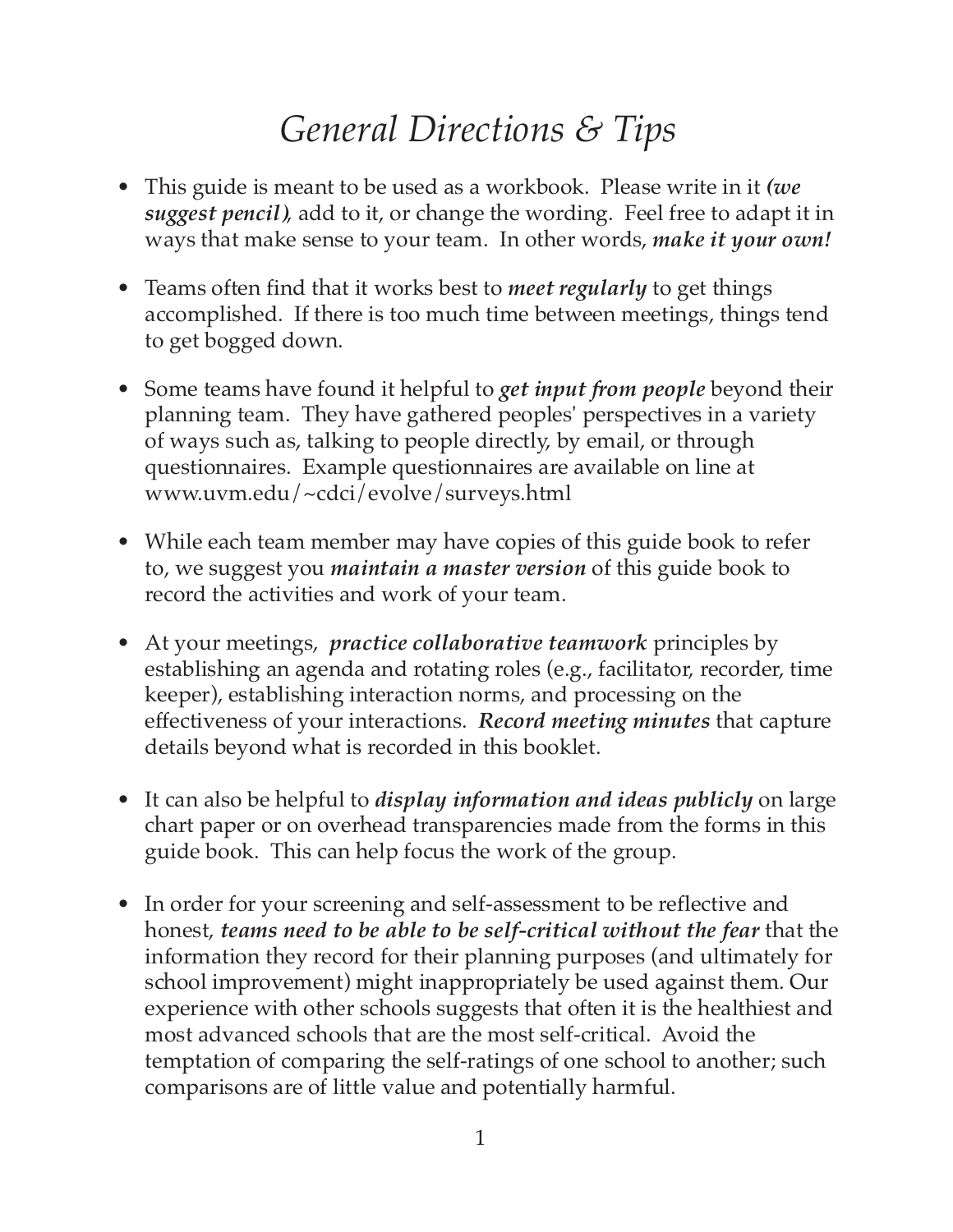# *General Directions & Tips*

- This guide is meant to be used as a workbook. Please write in it *(we suggest pencil)*, add to it, or change the wording. Feel free to adapt it in ways that make sense to your team. In other words, *make it your own!*
- Teams often find that it works best to *meet regularly* to get things accomplished. If there is too much time between meetings, things tend to get bogged down.
- Some teams have found it helpful to *get input from people* beyond their planning team. They have gathered peoples' perspectives in a variety of ways such as, talking to people directly, by email, or through questionnaires. Example questionnaires are available on line at www.uvm.edu/~cdci/evolve/surveys.html
- While each team member may have copies of this guide book to refer to, we suggest you *maintain a master version* of this guide book to record the activities and work of your team.
- At your meetings, *practice collaborative teamwork* principles by establishing an agenda and rotating roles (e.g., facilitator, recorder, time keeper), establishing interaction norms, and processing on the effectiveness of your interactions. *Record meeting minutes* that capture details beyond what is recorded in this booklet.
- It can also be helpful to *display information and ideas publicly* on large chart paper or on overhead transparencies made from the forms in this guide book. This can help focus the work of the group.
- In order for your screening and self-assessment to be reflective and honest, *teams need to be able to be self-critical without the fear* that the information they record for their planning purposes (and ultimately for school improvement) might inappropriately be used against them. Our experience with other schools suggests that often it is the healthiest and most advanced schools that are the most self-critical. Avoid the temptation of comparing the self-ratings of one school to another; such comparisons are of little value and potentially harmful.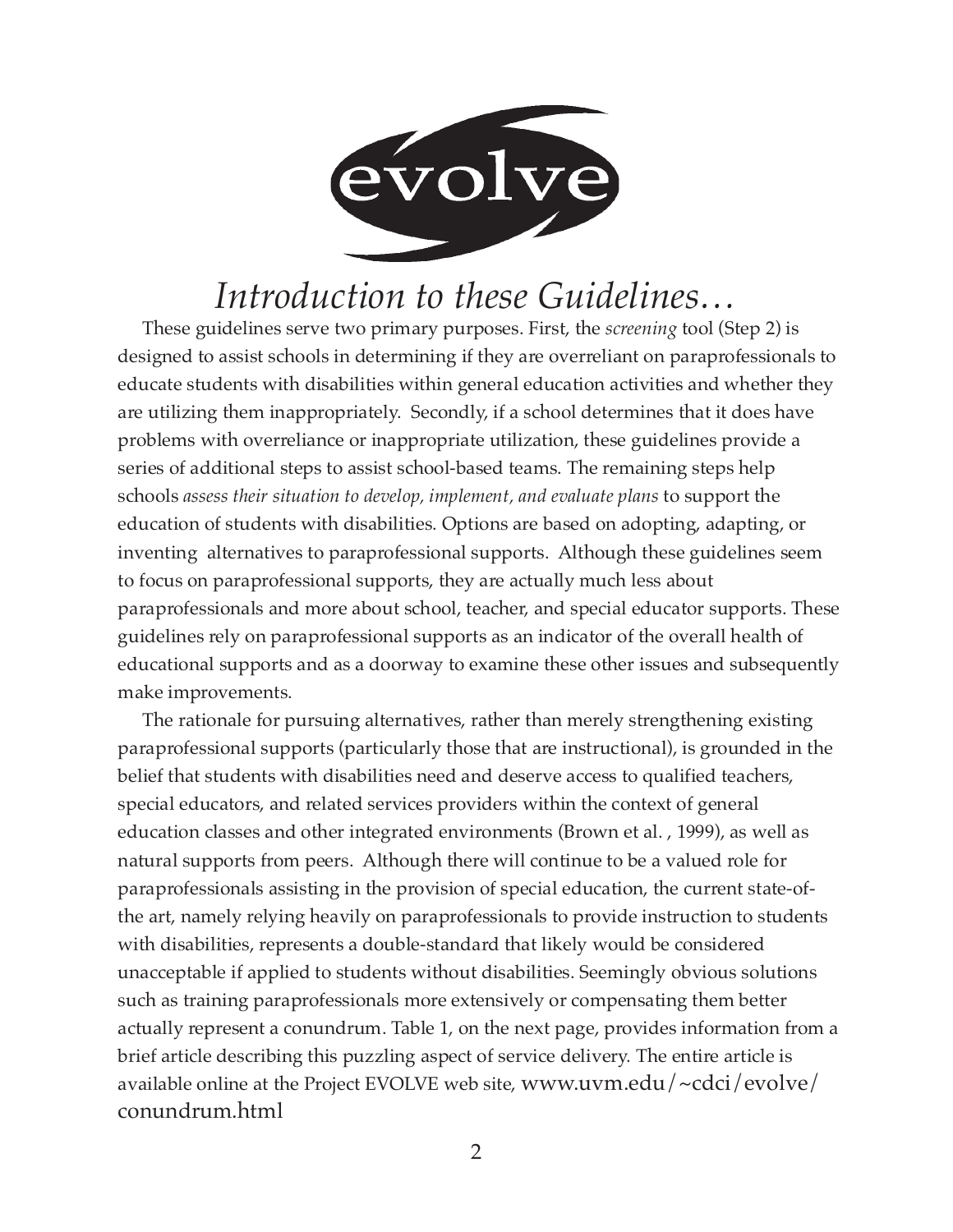

# *Introduction to these Guidelines…*

These guidelines serve two primary purposes. First, the *screening* tool (Step 2) is designed to assist schools in determining if they are overreliant on paraprofessionals to educate students with disabilities within general education activities and whether they are utilizing them inappropriately. Secondly, if a school determines that it does have problems with overreliance or inappropriate utilization, these guidelines provide a series of additional steps to assist school-based teams. The remaining steps help schools *assess their situation to develop, implement, and evaluate plans* to support the education of students with disabilities. Options are based on adopting, adapting, or inventing alternatives to paraprofessional supports. Although these guidelines seem to focus on paraprofessional supports, they are actually much less about paraprofessionals and more about school, teacher, and special educator supports. These guidelines rely on paraprofessional supports as an indicator of the overall health of educational supports and as a doorway to examine these other issues and subsequently make improvements.

The rationale for pursuing alternatives, rather than merely strengthening existing paraprofessional supports (particularly those that are instructional), is grounded in the belief that students with disabilities need and deserve access to qualified teachers, special educators, and related services providers within the context of general education classes and other integrated environments (Brown et al. , 1999), as well as natural supports from peers. Although there will continue to be a valued role for paraprofessionals assisting in the provision of special education, the current state-ofthe art, namely relying heavily on paraprofessionals to provide instruction to students with disabilities, represents a double-standard that likely would be considered unacceptable if applied to students without disabilities. Seemingly obvious solutions such as training paraprofessionals more extensively or compensating them better actually represent a conundrum. Table 1, on the next page, provides information from a brief article describing this puzzling aspect of service delivery. The entire article is available online at the Project EVOLVE web site, www.uvm.edu/~cdci/evolve/ conundrum.html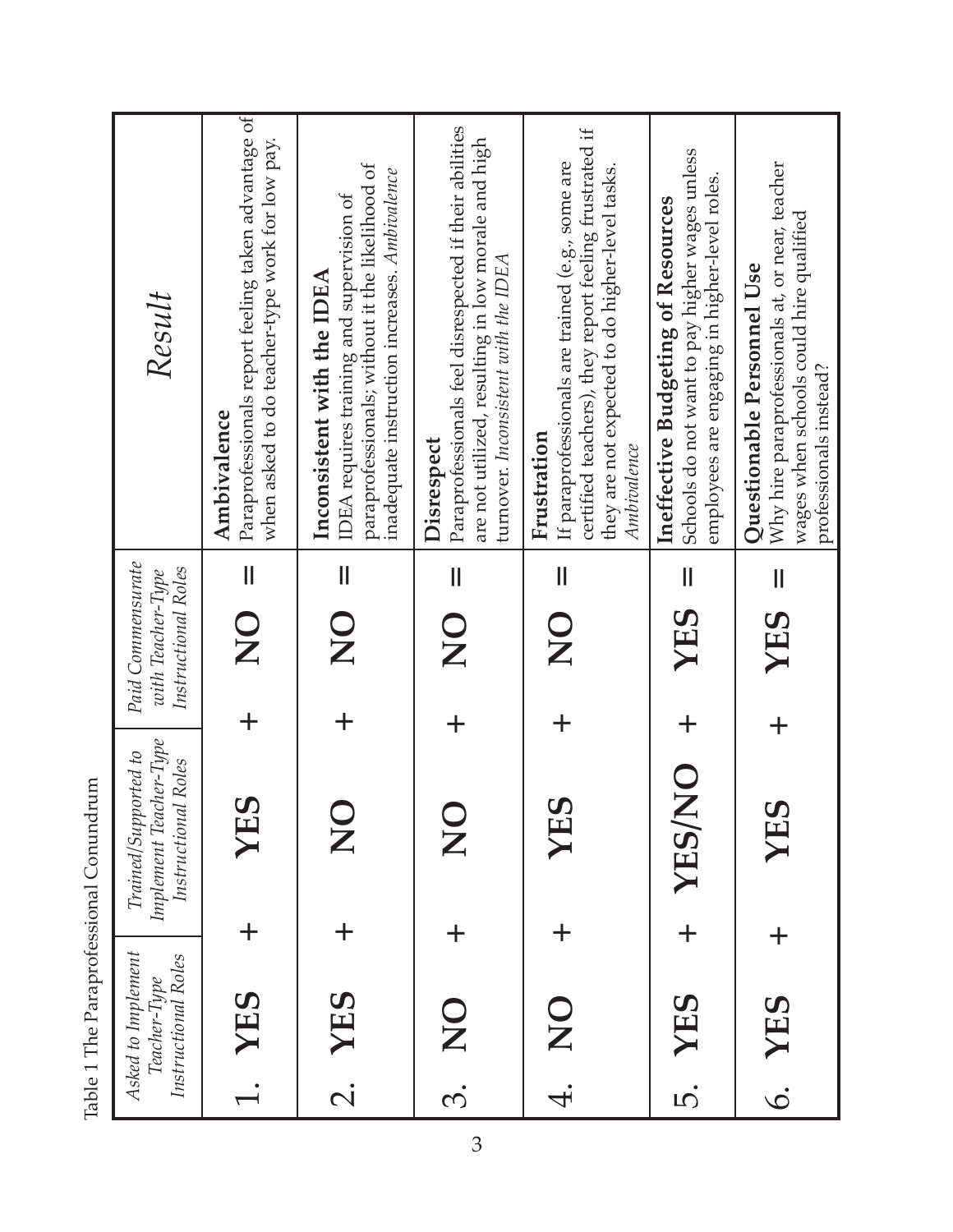|                                                               | Result                                                                | Paraprofessionals report feeling taken advantage of<br>when asked to do teacher-type work for low pay.<br>Ambivalence<br>$\mathbf{I}$ | paraprofessionals; without it the likelihood of<br>inadequate instruction increases. Ambivalence<br>IDEA requires training and supervision of<br>Inconsistent with the IDEA<br>$\mathsf{I}\mathsf{I}$ | Paraprofessionals feel disrespected if their abilities<br>are not utilized, resulting in low morale and high<br>turnover. Inconsistent with the IDEA<br>Disrespect<br>$\mathsf{I}$ | certified teachers), they report feeling frustrated if<br>If paraprofessionals are trained (e.g., some are<br>they are not expected to do higher-level tasks.<br>Frustration<br>Ambivalence<br>$\mathsf{II}$ | Schools do not want to pay higher wages unless<br>employees are engaging in higher-level roles.<br>Ineffective Budgeting of Resources<br>$\mathbf{  }$ | Why hire paraprofessionals at, or near, teacher<br>wages when schools could hire qualified<br><b>Ouestionable Personnel Use</b><br>professionals instead?<br>$\label{eq:1} \prod_{i=1}^n \left\{ \prod_{i=1}^n \frac{1}{n_i} \right\}$ |
|---------------------------------------------------------------|-----------------------------------------------------------------------|---------------------------------------------------------------------------------------------------------------------------------------|-------------------------------------------------------------------------------------------------------------------------------------------------------------------------------------------------------|------------------------------------------------------------------------------------------------------------------------------------------------------------------------------------|--------------------------------------------------------------------------------------------------------------------------------------------------------------------------------------------------------------|--------------------------------------------------------------------------------------------------------------------------------------------------------|----------------------------------------------------------------------------------------------------------------------------------------------------------------------------------------------------------------------------------------|
|                                                               |                                                                       |                                                                                                                                       |                                                                                                                                                                                                       |                                                                                                                                                                                    |                                                                                                                                                                                                              |                                                                                                                                                        |                                                                                                                                                                                                                                        |
|                                                               |                                                                       |                                                                                                                                       |                                                                                                                                                                                                       |                                                                                                                                                                                    |                                                                                                                                                                                                              |                                                                                                                                                        |                                                                                                                                                                                                                                        |
|                                                               |                                                                       |                                                                                                                                       |                                                                                                                                                                                                       |                                                                                                                                                                                    |                                                                                                                                                                                                              |                                                                                                                                                        |                                                                                                                                                                                                                                        |
|                                                               | Paid Commensurate<br>Instructional Roles<br>with Teacher-Type         | $\frac{1}{2}$                                                                                                                         | $\frac{\mathsf{O}}{\mathsf{Z}}$                                                                                                                                                                       | $\overline{C}$                                                                                                                                                                     | $\frac{\mathsf{O}}{\mathsf{Z}}$                                                                                                                                                                              | YES                                                                                                                                                    | YES                                                                                                                                                                                                                                    |
|                                                               |                                                                       |                                                                                                                                       |                                                                                                                                                                                                       |                                                                                                                                                                                    |                                                                                                                                                                                                              | $\mathbf +$                                                                                                                                            |                                                                                                                                                                                                                                        |
| THE THE LABOR STORES IN THE THE TALK OF STRIP WAS CONSIDERED. | Implement Teacher-Type<br>Trained/Supported to<br>Instructional Roles | S<br>XE                                                                                                                               | $\mathbf{\Sigma}$                                                                                                                                                                                     | $\mathbf{Z}$                                                                                                                                                                       | YES                                                                                                                                                                                                          | <b>ON/SHX</b>                                                                                                                                          | YES                                                                                                                                                                                                                                    |
|                                                               |                                                                       |                                                                                                                                       |                                                                                                                                                                                                       |                                                                                                                                                                                    |                                                                                                                                                                                                              | $+$                                                                                                                                                    |                                                                                                                                                                                                                                        |
|                                                               | Asked to Implement<br>Instructional Roles<br>Teacher-Type             | 1. YES                                                                                                                                | 2. YES                                                                                                                                                                                                | <b>ON</b>                                                                                                                                                                          | 4. NO                                                                                                                                                                                                        | YES                                                                                                                                                    | 6. YES                                                                                                                                                                                                                                 |
|                                                               |                                                                       |                                                                                                                                       |                                                                                                                                                                                                       | <u>ကဲ</u>                                                                                                                                                                          |                                                                                                                                                                                                              | $\vec{c}$                                                                                                                                              |                                                                                                                                                                                                                                        |

Table 1 The Paraprofessional Conundrum Table 1 The Paraprofessional Conundrum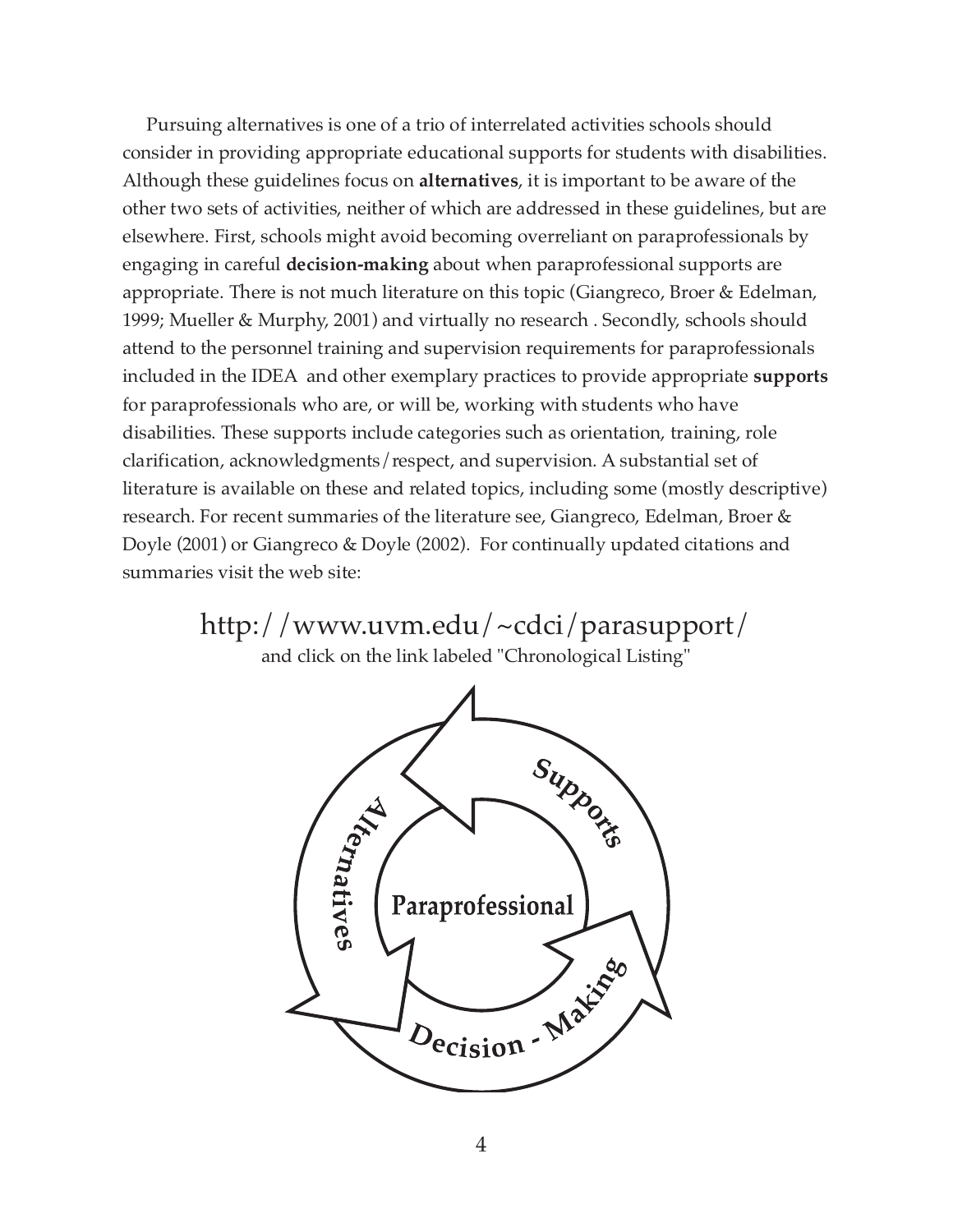Pursuing alternatives is one of a trio of interrelated activities schools should consider in providing appropriate educational supports for students with disabilities. Although these guidelines focus on **alternatives**, it is important to be aware of the other two sets of activities, neither of which are addressed in these guidelines, but are elsewhere. First, schools might avoid becoming overreliant on paraprofessionals by engaging in careful **decision-making** about when paraprofessional supports are appropriate. There is not much literature on this topic (Giangreco, Broer & Edelman, 1999; Mueller & Murphy, 2001) and virtually no research . Secondly, schools should attend to the personnel training and supervision requirements for paraprofessionals included in the IDEA and other exemplary practices to provide appropriate **supports** for paraprofessionals who are, or will be, working with students who have disabilities. These supports include categories such as orientation, training, role clarification, acknowledgments/respect, and supervision. A substantial set of literature is available on these and related topics, including some (mostly descriptive) research. For recent summaries of the literature see, Giangreco, Edelman, Broer & Doyle (2001) or Giangreco & Doyle (2002). For continually updated citations and summaries visit the web site:

> http://www.uvm.edu/~cdci/parasupport/ and click on the link labeled "Chronological Listing"

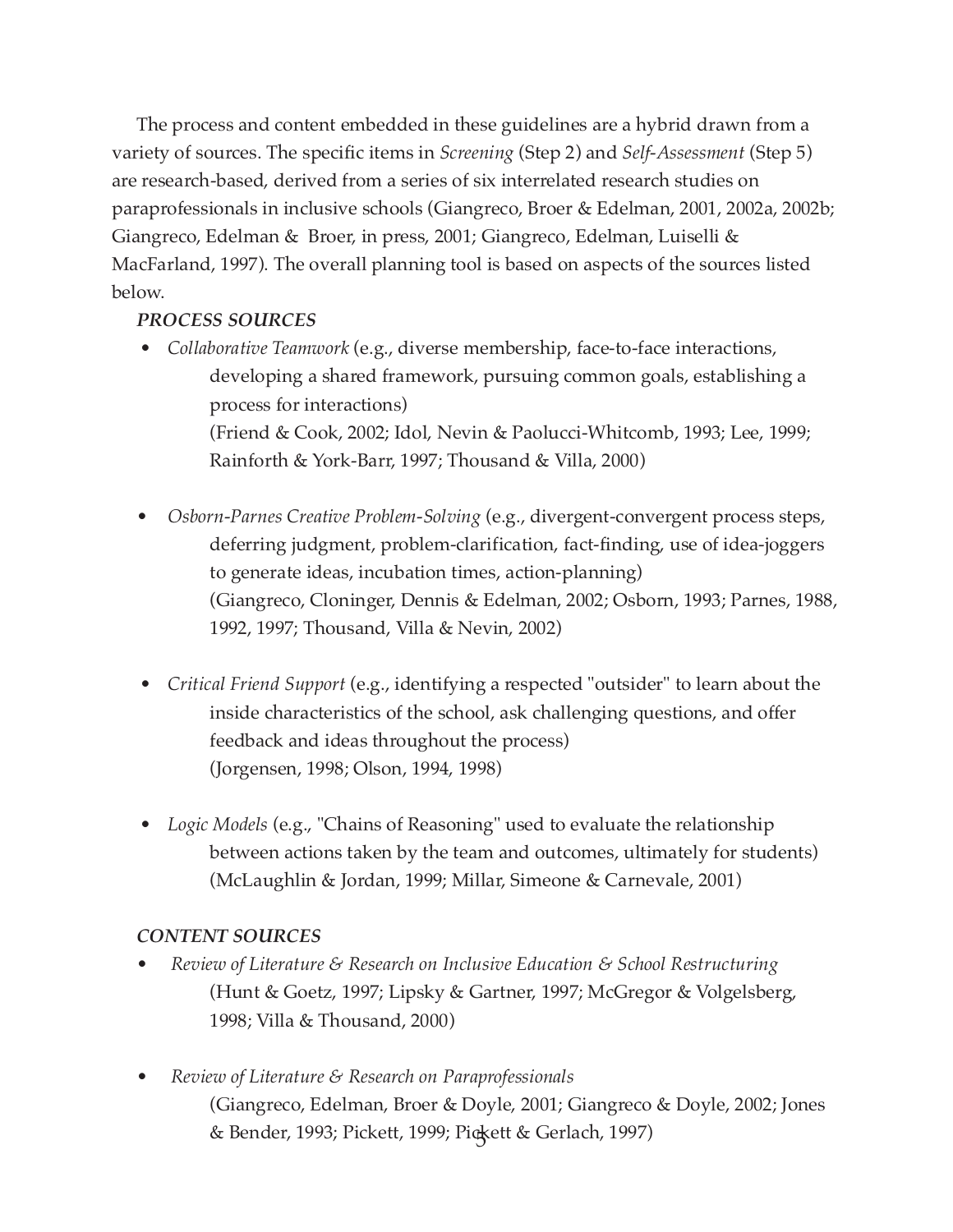The process and content embedded in these guidelines are a hybrid drawn from a variety of sources. The specific items in *Screening* (Step 2) and *Self-Assessment* (Step 5) are research-based, derived from a series of six interrelated research studies on paraprofessionals in inclusive schools (Giangreco, Broer & Edelman, 2001, 2002a, 2002b; Giangreco, Edelman & Broer, in press, 2001; Giangreco, Edelman, Luiselli & MacFarland, 1997). The overall planning tool is based on aspects of the sources listed below.

#### *PROCESS SOURCES*

- *Collaborative Teamwork* (e.g., diverse membership, face-to-face interactions, developing a shared framework, pursuing common goals, establishing a process for interactions) (Friend & Cook, 2002; Idol, Nevin & Paolucci-Whitcomb, 1993; Lee, 1999; Rainforth & York-Barr, 1997; Thousand & Villa, 2000)
- *Osborn-Parnes Creative Problem-Solving* (e.g., divergent-convergent process steps, deferring judgment, problem-clarification, fact-finding, use of idea-joggers to generate ideas, incubation times, action-planning) (Giangreco, Cloninger, Dennis & Edelman, 2002; Osborn, 1993; Parnes, 1988, 1992, 1997; Thousand, Villa & Nevin, 2002)
- *Critical Friend Support* (e.g., identifying a respected "outsider" to learn about the inside characteristics of the school, ask challenging questions, and offer feedback and ideas throughout the process) (Jorgensen, 1998; Olson, 1994, 1998)
- *Logic Models* (e.g., "Chains of Reasoning" used to evaluate the relationship between actions taken by the team and outcomes, ultimately for students) (McLaughlin & Jordan, 1999; Millar, Simeone & Carnevale, 2001)

#### *CONTENT SOURCES*

- *Review of Literature & Research on Inclusive Education & School Restructuring* (Hunt & Goetz, 1997; Lipsky & Gartner, 1997; McGregor & Volgelsberg, 1998; Villa & Thousand, 2000)
- *Review of Literature & Research on Paraprofessionals* (Giangreco, Edelman, Broer & Doyle, 2001; Giangreco & Doyle, 2002; Jones & Bender, 1993; Pickett, 1999; Pickett & Gerlach, 1997) 5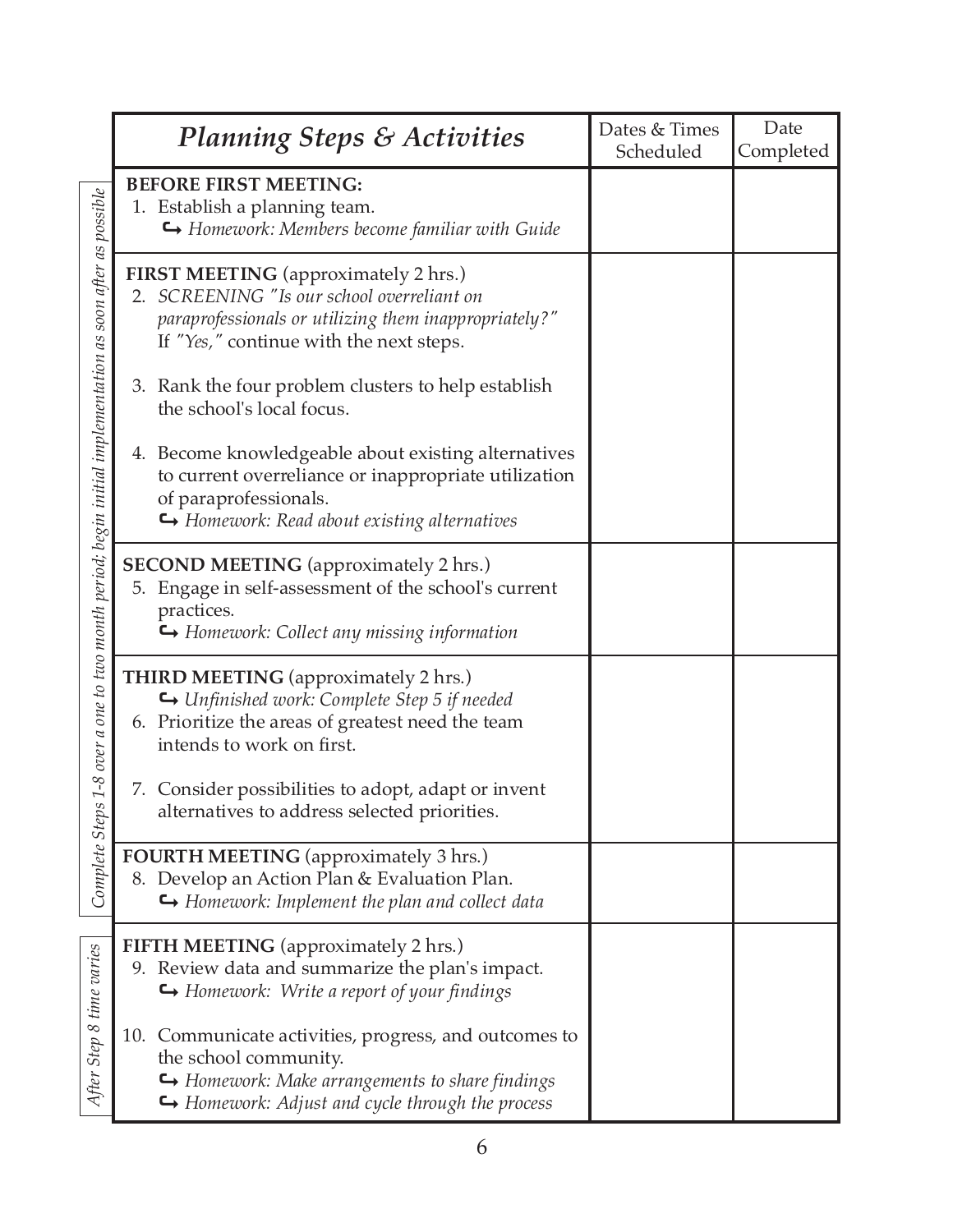|                                                                                   | <b>Planning Steps &amp; Activities</b>                                                                                                                                                               | Dates & Times<br>Scheduled | Date<br>Completed |
|-----------------------------------------------------------------------------------|------------------------------------------------------------------------------------------------------------------------------------------------------------------------------------------------------|----------------------------|-------------------|
|                                                                                   | <b>BEFORE FIRST MEETING:</b><br>1. Establish a planning team.<br>$\hookrightarrow$ Homework: Members become familiar with Guide                                                                      |                            |                   |
|                                                                                   | FIRST MEETING (approximately 2 hrs.)<br>2. SCREENING "Is our school overreliant on<br>paraprofessionals or utilizing them inappropriately?"<br>If "Yes," continue with the next steps.               |                            |                   |
|                                                                                   | 3. Rank the four problem clusters to help establish<br>the school's local focus.                                                                                                                     |                            |                   |
|                                                                                   | 4. Become knowledgeable about existing alternatives<br>to current overreliance or inappropriate utilization<br>of paraprofessionals.<br>$\hookrightarrow$ Homework: Read about existing alternatives |                            |                   |
| a one to two month period; begin initial implementation as soon after as possible | <b>SECOND MEETING</b> (approximately 2 hrs.)<br>5. Engage in self-assessment of the school's current<br>practices.<br>Homework: Collect any missing information                                      |                            |                   |
| over                                                                              | <b>THIRD MEETING</b> (approximately 2 hrs.)<br>← Unfinished work: Complete Step 5 if needed<br>6. Prioritize the areas of greatest need the team<br>intends to work on first.                        |                            |                   |
| $\mathcal{S}$ -<br>$\overline{1}$                                                 | 7. Consider possibilities to adopt, adapt or invent<br>alternatives to address selected priorities.                                                                                                  |                            |                   |
| Complete Step                                                                     | <b>FOURTH MEETING</b> (approximately 3 hrs.)<br>8. Develop an Action Plan & Evaluation Plan.<br>$\hookrightarrow$ Homework: Implement the plan and collect data                                      |                            |                   |
|                                                                                   | <b>FIFTH MEETING</b> (approximately 2 hrs.)<br>9. Review data and summarize the plan's impact.<br>Homework: Write a report of your findings                                                          |                            |                   |
| After Step 8 time varies                                                          | 10. Communicate activities, progress, and outcomes to<br>the school community.<br>$\hookrightarrow$ Homework: Make arrangements to share findings<br>Homework: Adjust and cycle through the process  |                            |                   |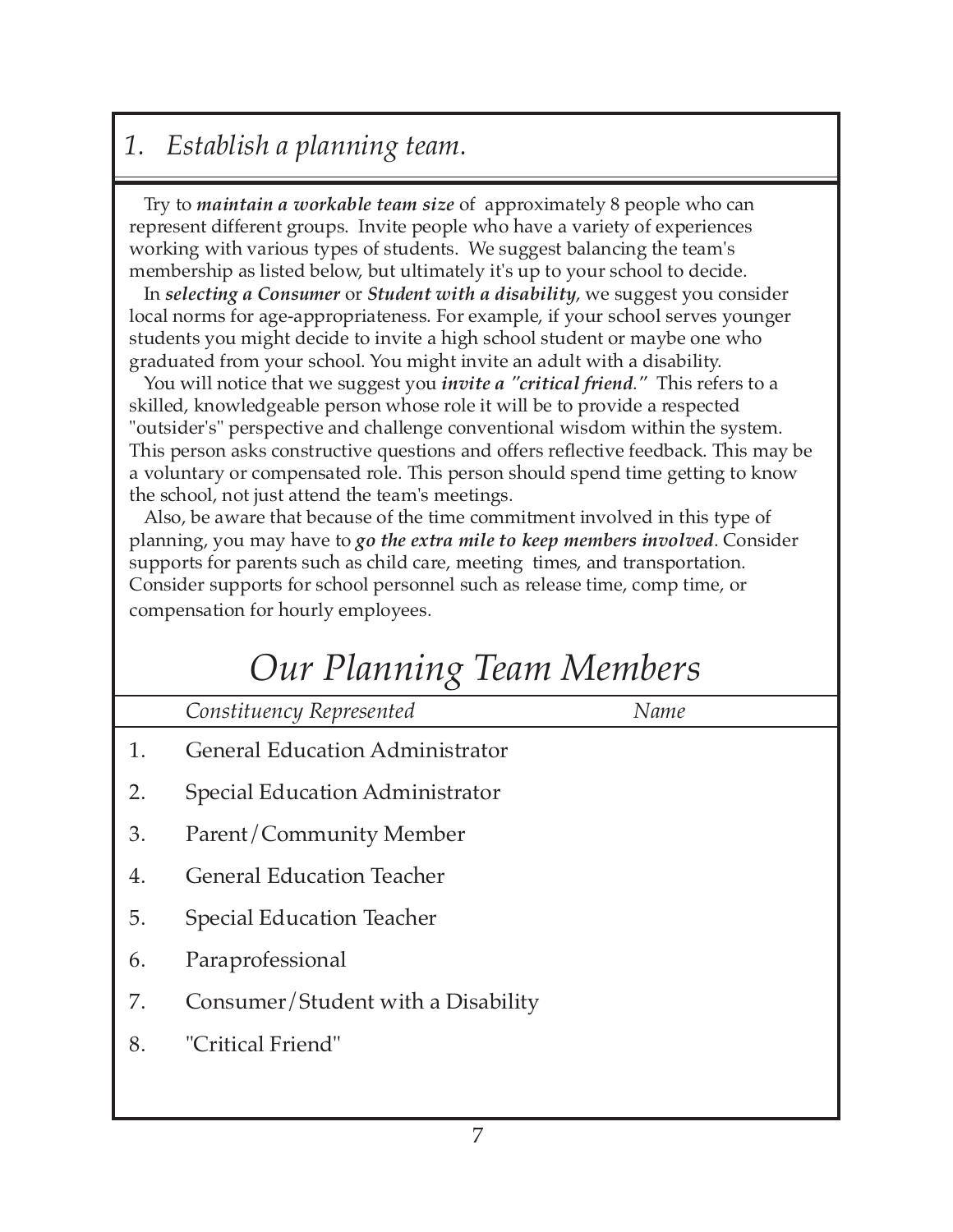# *1. Establish a planning team.*

Try to *maintain a workable team size* of approximately 8 people who can represent different groups. Invite people who have a variety of experiences working with various types of students. We suggest balancing the team's membership as listed below, but ultimately it's up to your school to decide.

In *selecting a Consumer* or *Student with a disability*, we suggest you consider local norms for age-appropriateness. For example, if your school serves younger students you might decide to invite a high school student or maybe one who graduated from your school. You might invite an adult with a disability.

You will notice that we suggest you *invite a "critical friend*.*"* This refers to a skilled, knowledgeable person whose role it will be to provide a respected "outsider's" perspective and challenge conventional wisdom within the system. This person asks constructive questions and offers reflective feedback. This may be a voluntary or compensated role. This person should spend time getting to know the school, not just attend the team's meetings.

Also, be aware that because of the time commitment involved in this type of planning, you may have to *go the extra mile to keep members involved*. Consider supports for parents such as child care, meeting times, and transportation. Consider supports for school personnel such as release time, comp time, or compensation for hourly employees.

# *Our Planning Team Members*

*Constituency Represented Name*

- 1. General Education Administrator
- 2. Special Education Administrator
- 3. Parent/Community Member
- 4. General Education Teacher
- 5. Special Education Teacher
- 6. Paraprofessional
- 7. Consumer/Student with a Disability
- 8. "Critical Friend"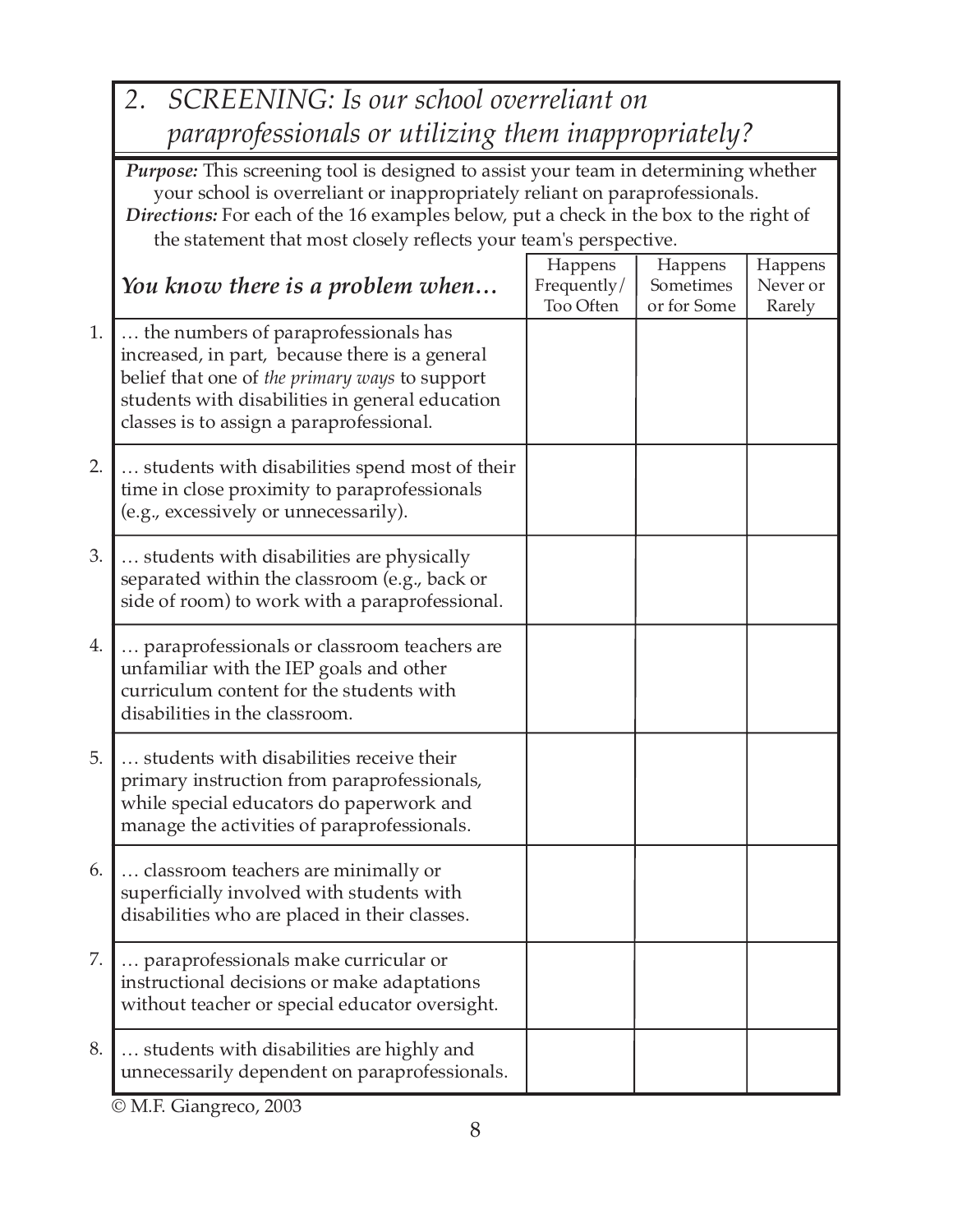|    | SCREENING: Is our school overreliant on<br>2.                                                                                                                                                                                                                                                                                           |                                     |                                     |                               |  |  |  |
|----|-----------------------------------------------------------------------------------------------------------------------------------------------------------------------------------------------------------------------------------------------------------------------------------------------------------------------------------------|-------------------------------------|-------------------------------------|-------------------------------|--|--|--|
|    | paraprofessionals or utilizing them inappropriately?                                                                                                                                                                                                                                                                                    |                                     |                                     |                               |  |  |  |
|    | <b>Purpose:</b> This screening tool is designed to assist your team in determining whether<br>your school is overreliant or inappropriately reliant on paraprofessionals.<br>Directions: For each of the 16 examples below, put a check in the box to the right of<br>the statement that most closely reflects your team's perspective. |                                     |                                     |                               |  |  |  |
|    | You know there is a problem when                                                                                                                                                                                                                                                                                                        | Happens<br>Frequently/<br>Too Often | Happens<br>Sometimes<br>or for Some | Happens<br>Never or<br>Rarely |  |  |  |
| 1. | the numbers of paraprofessionals has<br>increased, in part, because there is a general<br>belief that one of the primary ways to support<br>students with disabilities in general education<br>classes is to assign a paraprofessional.                                                                                                 |                                     |                                     |                               |  |  |  |
| 2. | students with disabilities spend most of their<br>time in close proximity to paraprofessionals<br>(e.g., excessively or unnecessarily).                                                                                                                                                                                                 |                                     |                                     |                               |  |  |  |
| 3. | students with disabilities are physically<br>separated within the classroom (e.g., back or<br>side of room) to work with a paraprofessional.                                                                                                                                                                                            |                                     |                                     |                               |  |  |  |
| 4. | paraprofessionals or classroom teachers are<br>unfamiliar with the IEP goals and other<br>curriculum content for the students with<br>disabilities in the classroom.                                                                                                                                                                    |                                     |                                     |                               |  |  |  |
| 5. | students with disabilities receive their<br>primary instruction from paraprofessionals,<br>while special educators do paperwork and<br>manage the activities of paraprofessionals.                                                                                                                                                      |                                     |                                     |                               |  |  |  |
| 6. | classroom teachers are minimally or<br>superficially involved with students with<br>disabilities who are placed in their classes.                                                                                                                                                                                                       |                                     |                                     |                               |  |  |  |
| 7. | paraprofessionals make curricular or<br>instructional decisions or make adaptations<br>without teacher or special educator oversight.                                                                                                                                                                                                   |                                     |                                     |                               |  |  |  |
| 8. | students with disabilities are highly and<br>unnecessarily dependent on paraprofessionals.                                                                                                                                                                                                                                              |                                     |                                     |                               |  |  |  |

© M.F. Giangreco, 2003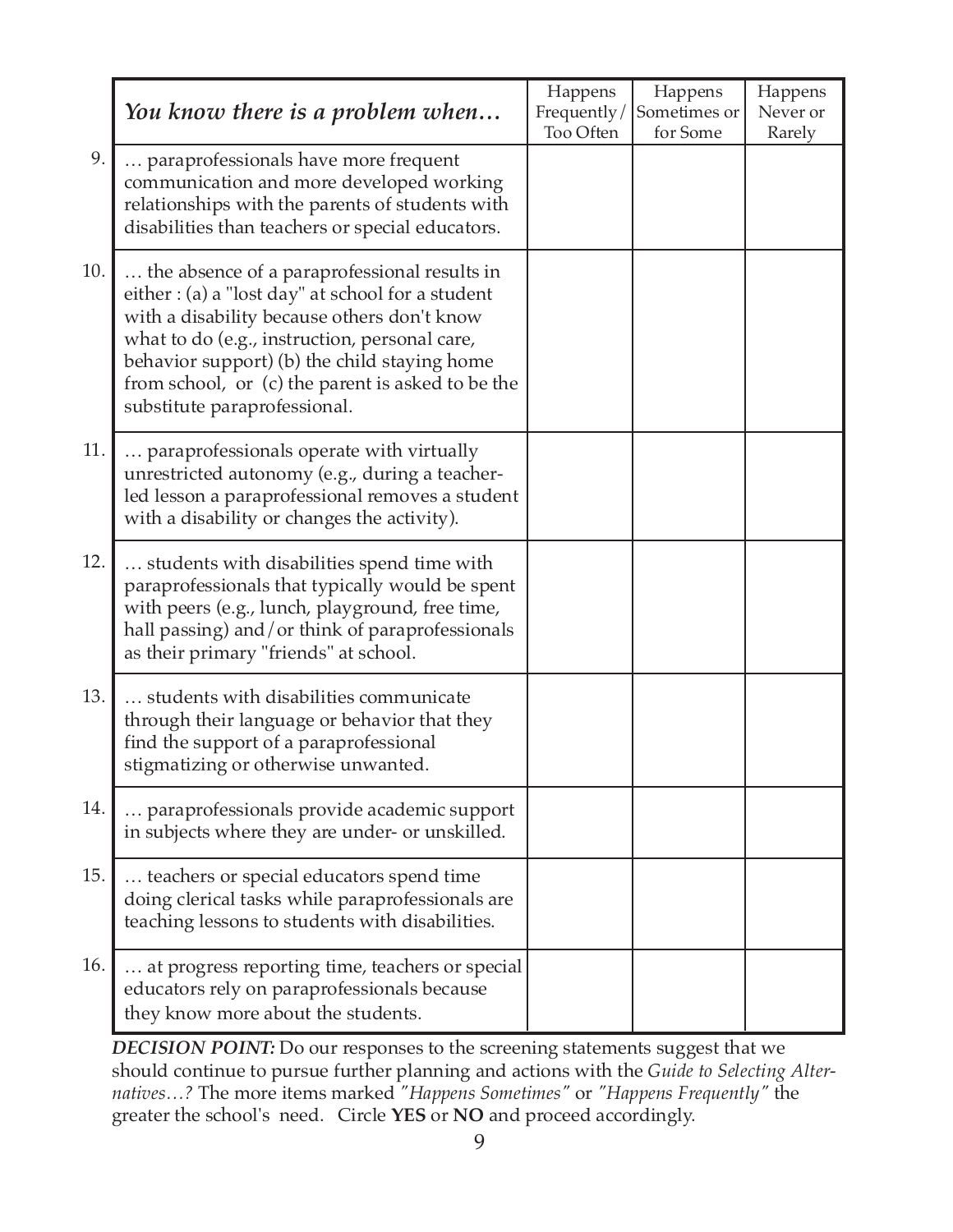|     | You know there is a problem when                                                                                                                                                                                                                                                                                                       | Happens<br>Frequently/<br>Too Often | Happens<br>Sometimes or<br>for Some | Happens<br>Never or<br>Rarely |
|-----|----------------------------------------------------------------------------------------------------------------------------------------------------------------------------------------------------------------------------------------------------------------------------------------------------------------------------------------|-------------------------------------|-------------------------------------|-------------------------------|
| 9.  | paraprofessionals have more frequent<br>communication and more developed working<br>relationships with the parents of students with<br>disabilities than teachers or special educators.                                                                                                                                                |                                     |                                     |                               |
| 10. | the absence of a paraprofessional results in<br>either : (a) a "lost day" at school for a student<br>with a disability because others don't know<br>what to do (e.g., instruction, personal care,<br>behavior support) (b) the child staying home<br>from school, or (c) the parent is asked to be the<br>substitute paraprofessional. |                                     |                                     |                               |
| 11. | paraprofessionals operate with virtually<br>unrestricted autonomy (e.g., during a teacher-<br>led lesson a paraprofessional removes a student<br>with a disability or changes the activity).                                                                                                                                           |                                     |                                     |                               |
| 12. | students with disabilities spend time with<br>paraprofessionals that typically would be spent<br>with peers (e.g., lunch, playground, free time,<br>hall passing) and/or think of paraprofessionals<br>as their primary "friends" at school.                                                                                           |                                     |                                     |                               |
| 13. | students with disabilities communicate<br>through their language or behavior that they<br>find the support of a paraprofessional<br>stigmatizing or otherwise unwanted.                                                                                                                                                                |                                     |                                     |                               |
| 14. | paraprofessionals provide academic support<br>in subjects where they are under- or unskilled.                                                                                                                                                                                                                                          |                                     |                                     |                               |
| 15. | teachers or special educators spend time<br>doing clerical tasks while paraprofessionals are<br>teaching lessons to students with disabilities.                                                                                                                                                                                        |                                     |                                     |                               |
| 16. | at progress reporting time, teachers or special<br>educators rely on paraprofessionals because<br>they know more about the students.                                                                                                                                                                                                   |                                     |                                     |                               |

*DECISION POINT:* Do our responses to the screening statements suggest that we should continue to pursue further planning and actions with the *Guide to Selecting Alternatives…?* The more items marked *"Happens Sometimes"* or *"Happens Frequently"* the greater the school's need. Circle **YES** or **NO** and proceed accordingly.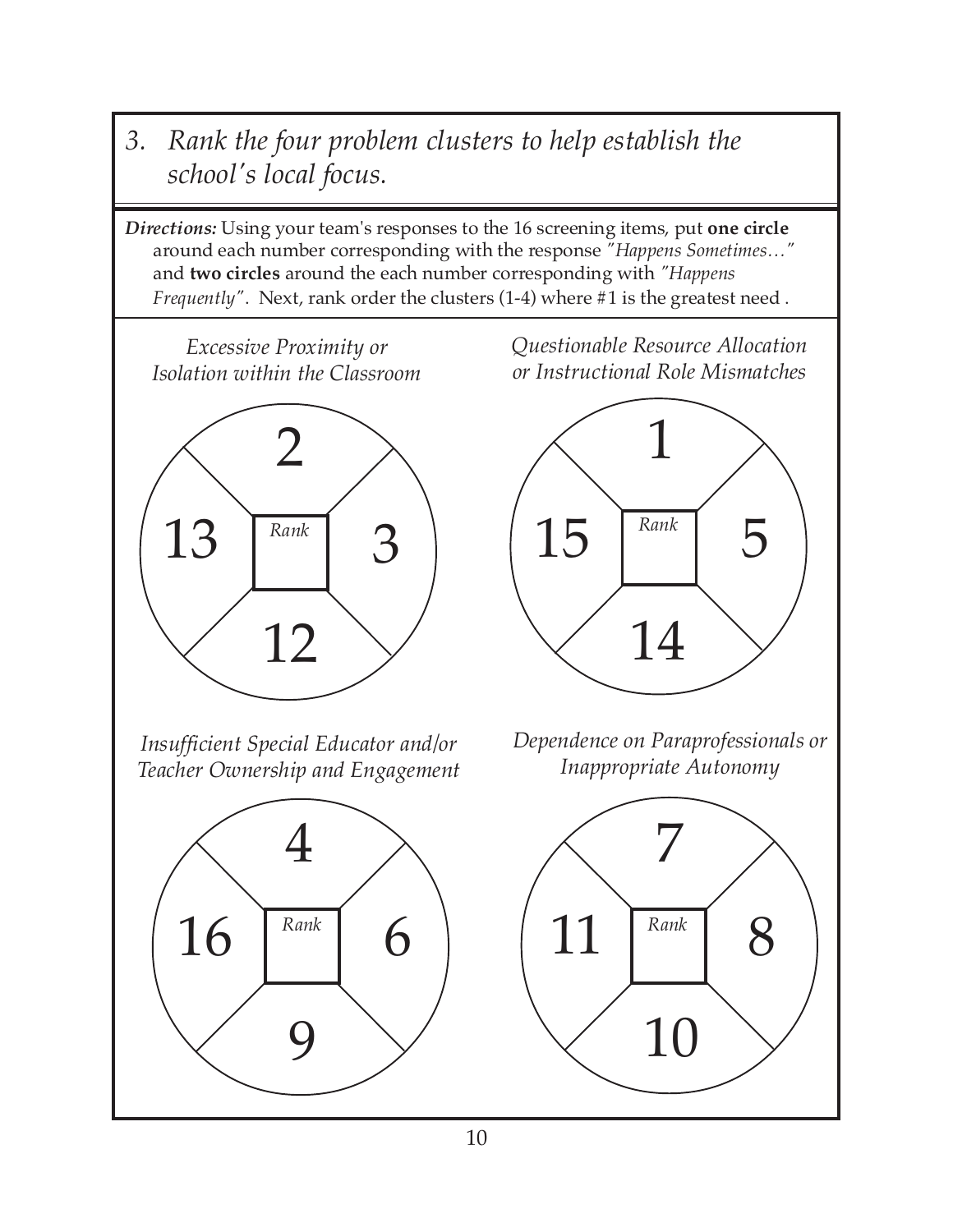*3. Rank the four problem clusters to help establish the school's local focus.*

*Directions:* Using your team's responses to the 16 screening items, put **one circle** around each number corresponding with the response *"Happens Sometimes…"* and **two circles** around the each number corresponding with *"Happens Frequently"*. Next, rank order the clusters (1-4) where #1 is the greatest need .

*Excessive Proximity or Isolation within the Classroom*



*Insufficient Special Educator and/or Teacher Ownership and Engagement*



*Questionable Resource Allocation or Instructional Role Mismatches*



*Dependence on Paraprofessionals or Inappropriate Autonomy*

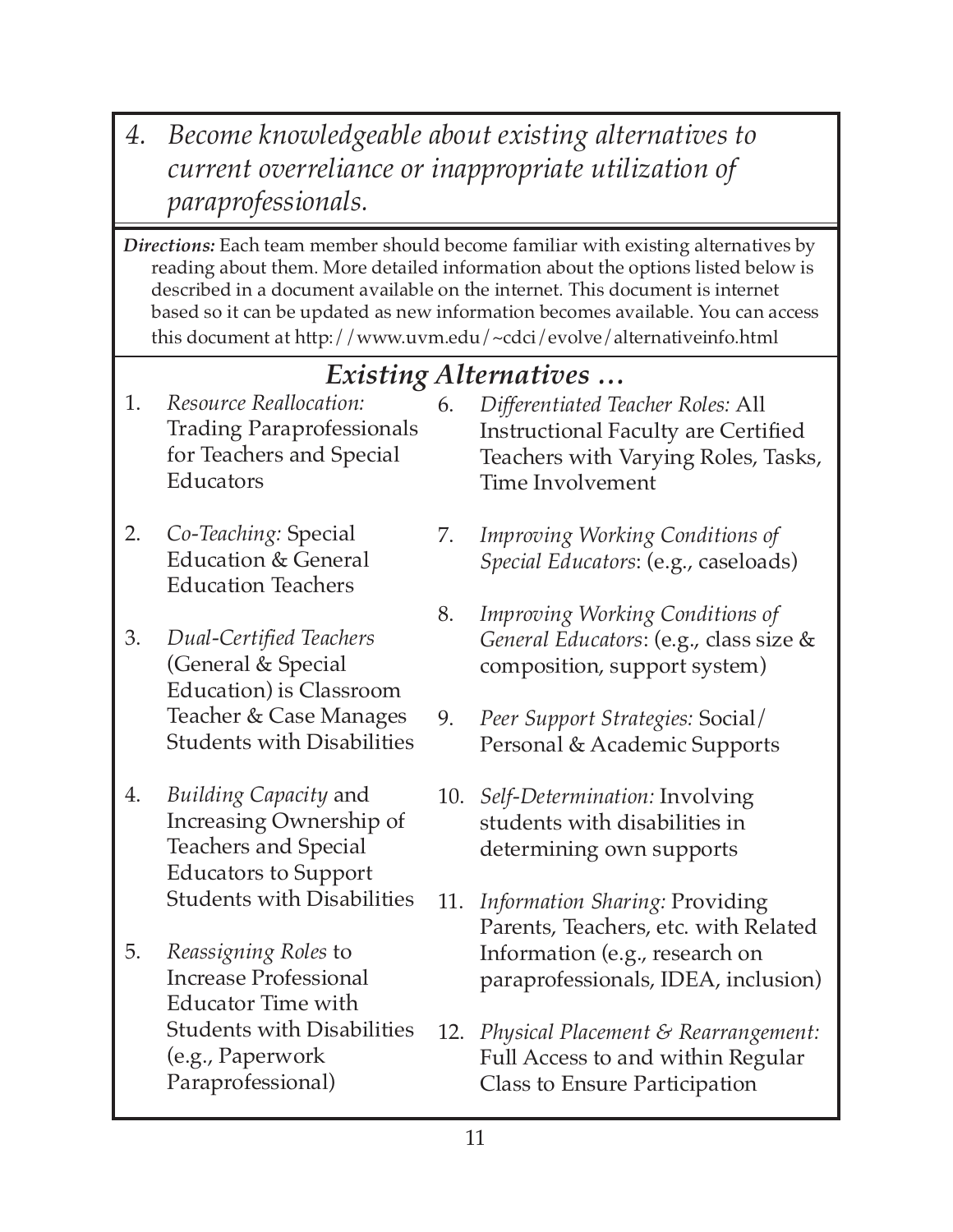- *4. Become knowledgeable about existing alternatives to current overreliance or inappropriate utilization of paraprofessionals.*
- *Directions:* Each team member should become familiar with existing alternatives by reading about them. More detailed information about the options listed below is described in a document available on the internet. This document is internet based so it can be updated as new information becomes available. You can access this document at http://www.uvm.edu/~cdci/evolve/alternativeinfo.html

## *Existing Alternatives …*

- 1. *Resource Reallocation:* Trading Paraprofessionals for Teachers and Special Educators
- 2. *Co-Teaching:* Special Education & General Education Teachers
- 3. *Dual-Certified Teachers* (General & Special Education) is Classroom Teacher & Case Manages Students with Disabilities
- 4. *Building Capacity* and Increasing Ownership of Teachers and Special Educators to Support Students with Disabilities
- 5. *Reassigning Roles* to Increase Professional Educator Time with Students with Disabilities (e.g., Paperwork Paraprofessional)
- 6. *Differentiated Teacher Roles:* All Instructional Faculty are Certified Teachers with Varying Roles, Tasks, Time Involvement
- 7. *Improving Working Conditions of Special Educators*: (e.g., caseloads)
- 8. *Improving Working Conditions of General Educators*: (e.g., class size & composition, support system)
- 9. *Peer Support Strategies:* Social/ Personal & Academic Supports
- 10. *Self-Determination:* Involving students with disabilities in determining own supports
- 11. *Information Sharing:* Providing Parents, Teachers, etc. with Related Information (e.g., research on paraprofessionals, IDEA, inclusion)
- 12. *Physical Placement & Rearrangement:* Full Access to and within Regular Class to Ensure Participation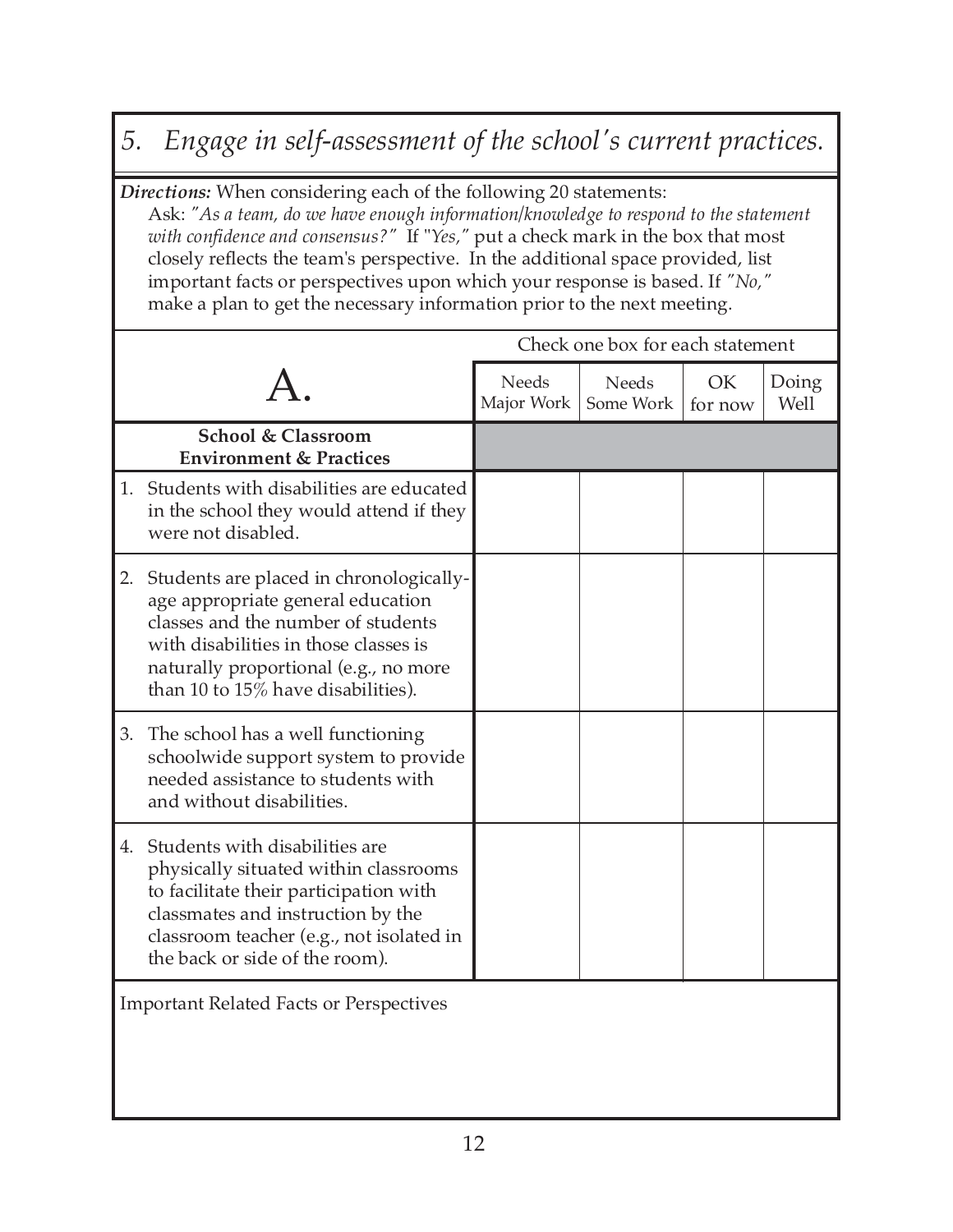## *5. Engage in self-assessment of the school's current practices.*

*Directions:* When considering each of the following 20 statements:

Ask: *"As a team, do we have enough information/knowledge to respond to the statement with confidence and consensus?"* If "*Yes,"* put a check mark in the box that most closely reflects the team's perspective. In the additional space provided, list important facts or perspectives upon which your response is based. If *"No,"* make a plan to get the necessary information prior to the next meeting.

|                                                                                                                                                                                                                                                  |                     | Check one box for each statement |                |               |
|--------------------------------------------------------------------------------------------------------------------------------------------------------------------------------------------------------------------------------------------------|---------------------|----------------------------------|----------------|---------------|
|                                                                                                                                                                                                                                                  | Needs<br>Major Work | <b>Needs</b><br>Some Work        | OK.<br>for now | Doing<br>Well |
| <b>School &amp; Classroom</b><br><b>Environment &amp; Practices</b>                                                                                                                                                                              |                     |                                  |                |               |
| Students with disabilities are educated<br>1.<br>in the school they would attend if they<br>were not disabled.                                                                                                                                   |                     |                                  |                |               |
| Students are placed in chronologically-<br>2.<br>age appropriate general education<br>classes and the number of students<br>with disabilities in those classes is<br>naturally proportional (e.g., no more<br>than 10 to 15% have disabilities). |                     |                                  |                |               |
| 3.<br>The school has a well functioning<br>schoolwide support system to provide<br>needed assistance to students with<br>and without disabilities.                                                                                               |                     |                                  |                |               |
| Students with disabilities are<br>4.<br>physically situated within classrooms<br>to facilitate their participation with<br>classmates and instruction by the<br>classroom teacher (e.g., not isolated in<br>the back or side of the room).       |                     |                                  |                |               |
| <b>Important Related Facts or Perspectives</b>                                                                                                                                                                                                   |                     |                                  |                |               |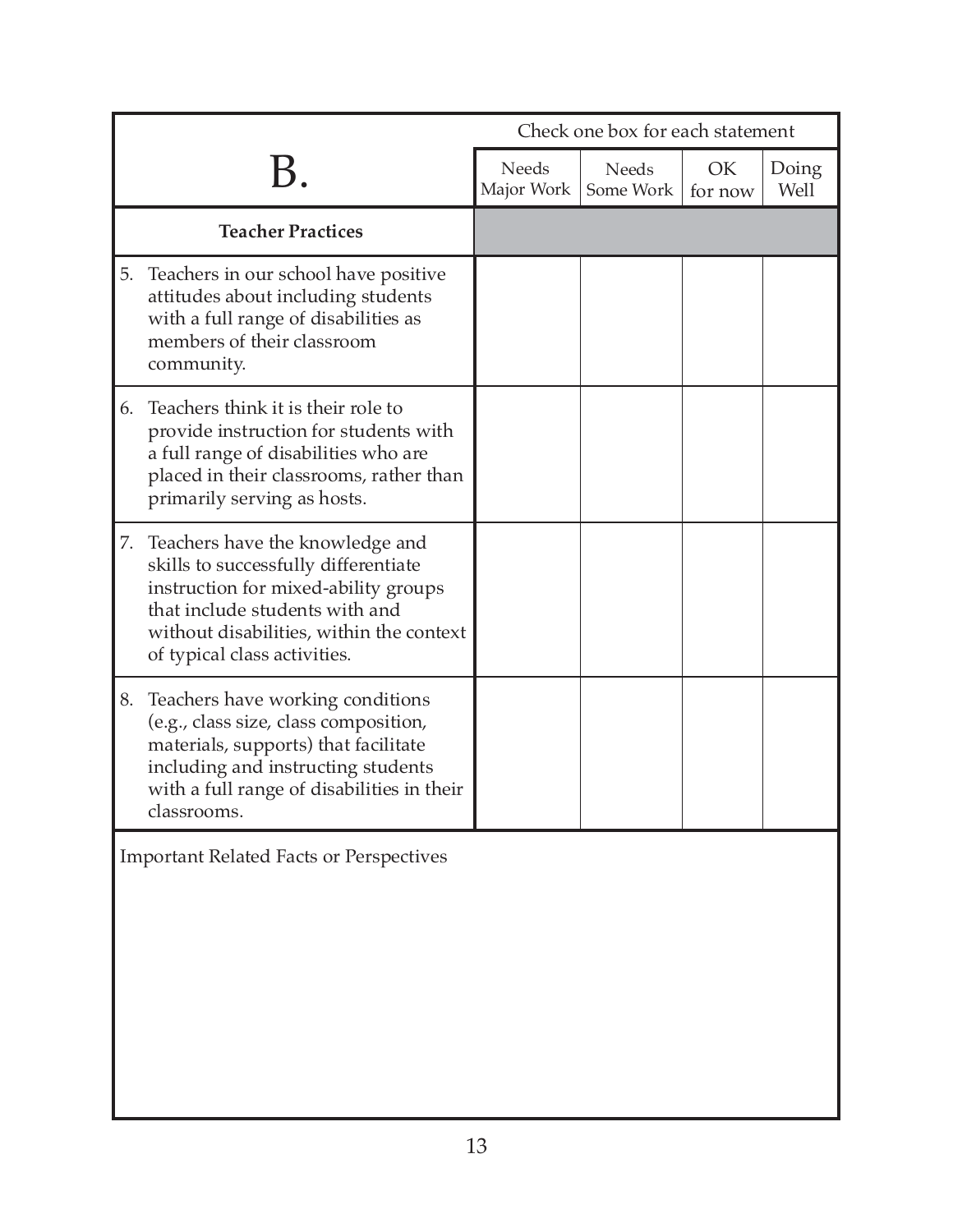|                                                                                                                                                                                                                                     |                            | Check one box for each statement |               |               |
|-------------------------------------------------------------------------------------------------------------------------------------------------------------------------------------------------------------------------------------|----------------------------|----------------------------------|---------------|---------------|
|                                                                                                                                                                                                                                     | <b>Needs</b><br>Major Work | Needs<br>Some Work               | OK<br>for now | Doing<br>Well |
| <b>Teacher Practices</b>                                                                                                                                                                                                            |                            |                                  |               |               |
| Teachers in our school have positive<br>5.<br>attitudes about including students<br>with a full range of disabilities as<br>members of their classroom<br>community.                                                                |                            |                                  |               |               |
| Teachers think it is their role to<br>6.<br>provide instruction for students with<br>a full range of disabilities who are<br>placed in their classrooms, rather than<br>primarily serving as hosts.                                 |                            |                                  |               |               |
| Teachers have the knowledge and<br>7.<br>skills to successfully differentiate<br>instruction for mixed-ability groups<br>that include students with and<br>without disabilities, within the context<br>of typical class activities. |                            |                                  |               |               |
| Teachers have working conditions<br>8.<br>(e.g., class size, class composition,<br>materials, supports) that facilitate<br>including and instructing students<br>with a full range of disabilities in their<br>classrooms.          |                            |                                  |               |               |
| <b>Important Related Facts or Perspectives</b>                                                                                                                                                                                      |                            |                                  |               |               |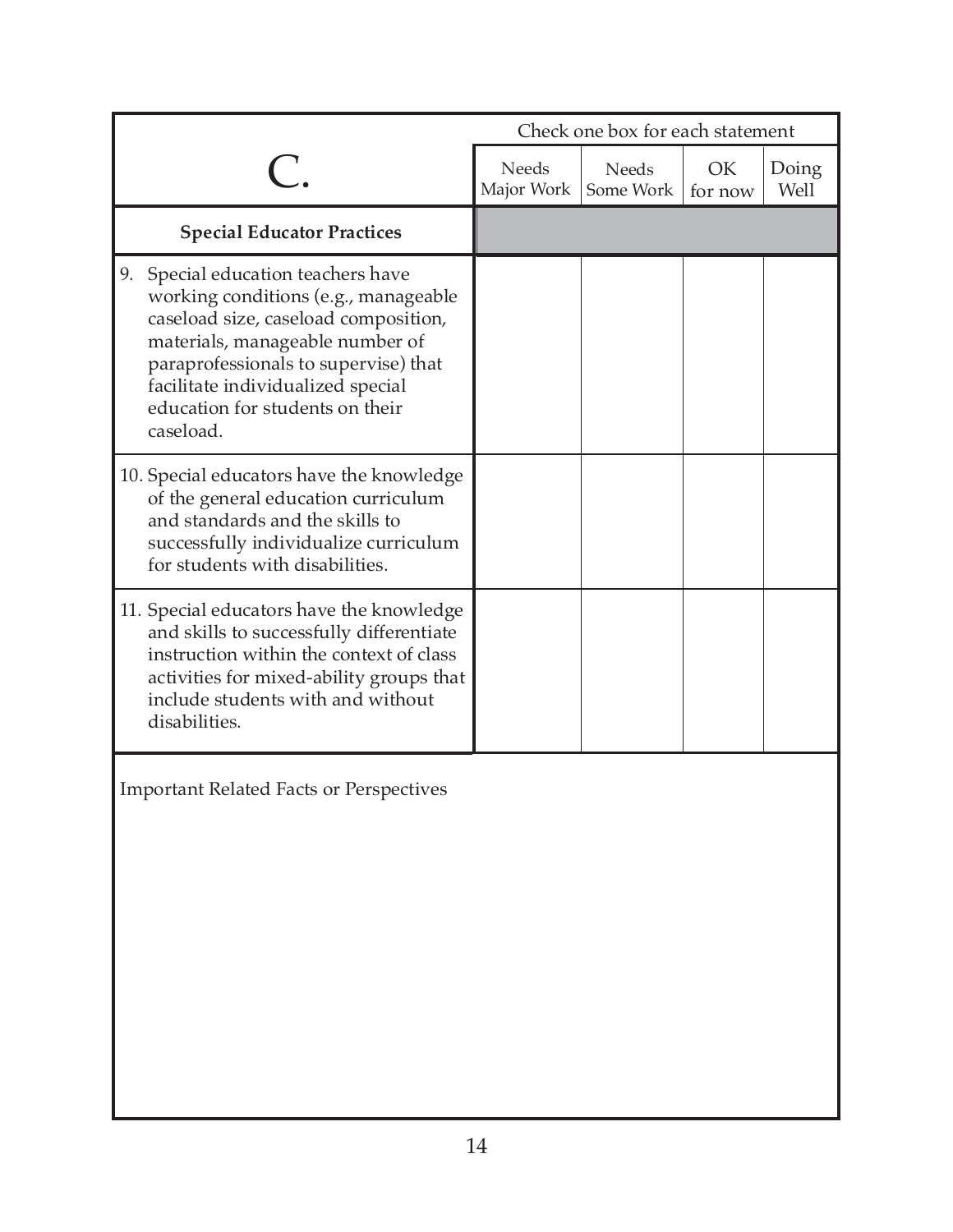|                                                                                                                                                                                                                                                                                       | Check one box for each statement |                           |               |               |
|---------------------------------------------------------------------------------------------------------------------------------------------------------------------------------------------------------------------------------------------------------------------------------------|----------------------------------|---------------------------|---------------|---------------|
|                                                                                                                                                                                                                                                                                       | <b>Needs</b><br>Major Work       | <b>Needs</b><br>Some Work | OK<br>for now | Doing<br>Well |
| <b>Special Educator Practices</b>                                                                                                                                                                                                                                                     |                                  |                           |               |               |
| Special education teachers have<br>9.<br>working conditions (e.g., manageable<br>caseload size, caseload composition,<br>materials, manageable number of<br>paraprofessionals to supervise) that<br>facilitate individualized special<br>education for students on their<br>caseload. |                                  |                           |               |               |
| 10. Special educators have the knowledge<br>of the general education curriculum<br>and standards and the skills to<br>successfully individualize curriculum<br>for students with disabilities.                                                                                        |                                  |                           |               |               |
| 11. Special educators have the knowledge<br>and skills to successfully differentiate<br>instruction within the context of class<br>activities for mixed-ability groups that<br>include students with and without<br>disabilities.                                                     |                                  |                           |               |               |
| <b>Important Related Facts or Perspectives</b>                                                                                                                                                                                                                                        |                                  |                           |               |               |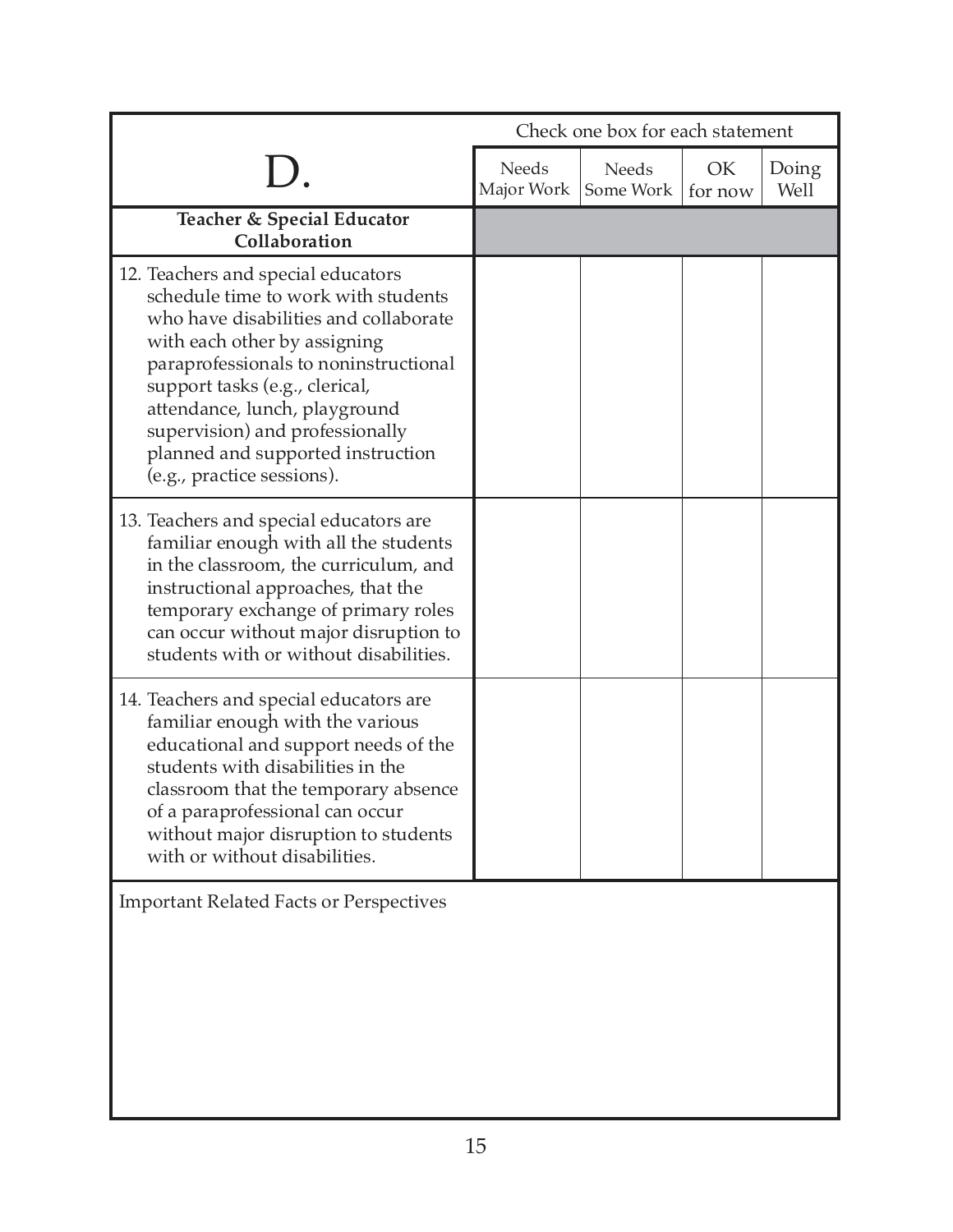|                                                                                                                                                                                                                                                                                                                                                                      | Check one box for each statement |                    |               |               |
|----------------------------------------------------------------------------------------------------------------------------------------------------------------------------------------------------------------------------------------------------------------------------------------------------------------------------------------------------------------------|----------------------------------|--------------------|---------------|---------------|
|                                                                                                                                                                                                                                                                                                                                                                      | Needs<br>Major Work              | Needs<br>Some Work | OK<br>for now | Doing<br>Well |
| Teacher & Special Educator<br>Collaboration                                                                                                                                                                                                                                                                                                                          |                                  |                    |               |               |
| 12. Teachers and special educators<br>schedule time to work with students<br>who have disabilities and collaborate<br>with each other by assigning<br>paraprofessionals to noninstructional<br>support tasks (e.g., clerical,<br>attendance, lunch, playground<br>supervision) and professionally<br>planned and supported instruction<br>(e.g., practice sessions). |                                  |                    |               |               |
| 13. Teachers and special educators are<br>familiar enough with all the students<br>in the classroom, the curriculum, and<br>instructional approaches, that the<br>temporary exchange of primary roles<br>can occur without major disruption to<br>students with or without disabilities.                                                                             |                                  |                    |               |               |
| 14. Teachers and special educators are<br>familiar enough with the various<br>educational and support needs of the<br>students with disabilities in the<br>classroom that the temporary absence<br>of a paraprofessional can occur<br>without major disruption to students<br>with or without disabilities.                                                          |                                  |                    |               |               |
| <b>Important Related Facts or Perspectives</b>                                                                                                                                                                                                                                                                                                                       |                                  |                    |               |               |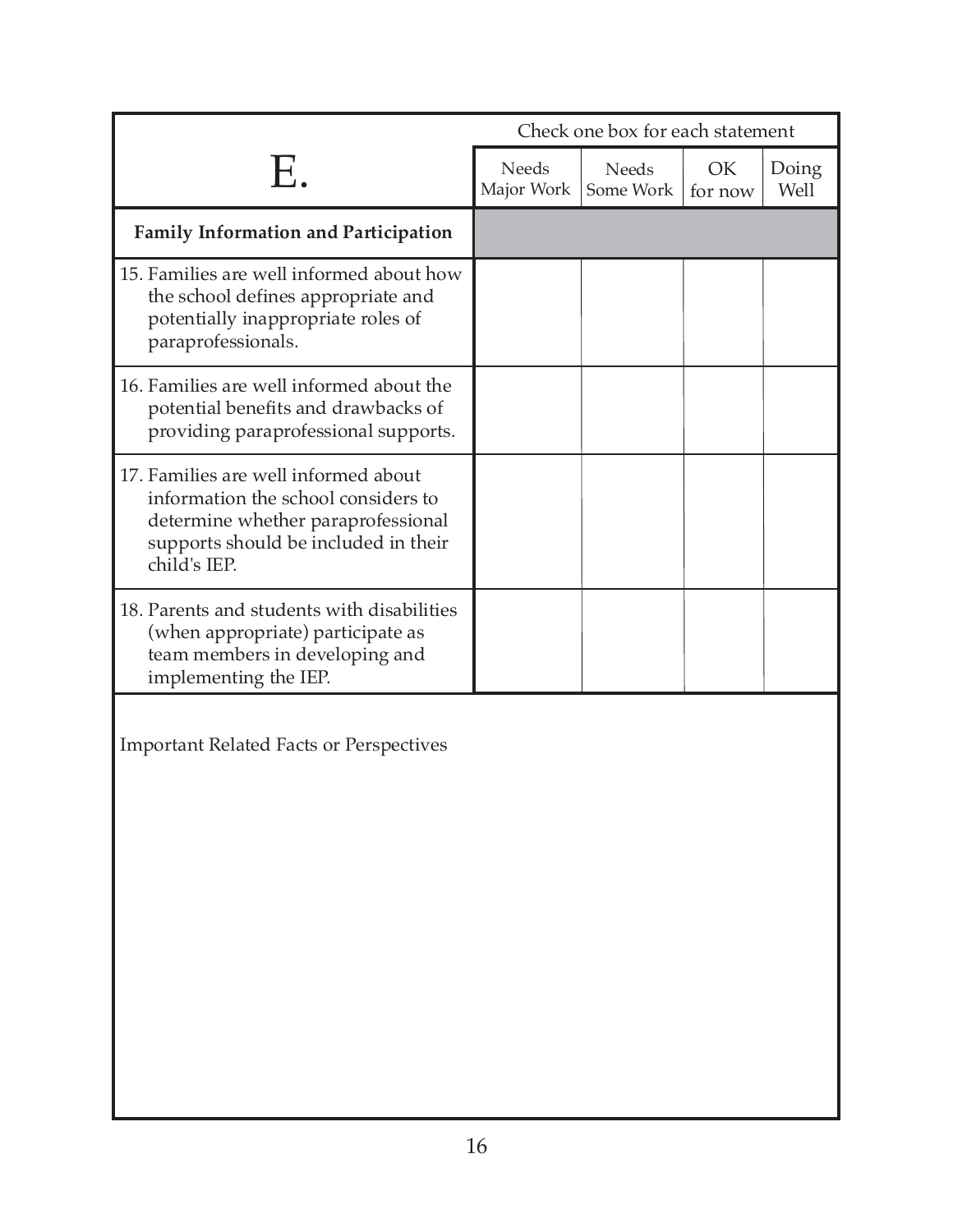|                                                                                                                                                                           | Check one box for each statement |                           |               |               |
|---------------------------------------------------------------------------------------------------------------------------------------------------------------------------|----------------------------------|---------------------------|---------------|---------------|
| Ε.                                                                                                                                                                        | <b>Needs</b><br>Major Work       | <b>Needs</b><br>Some Work | OK<br>for now | Doing<br>Well |
| <b>Family Information and Participation</b>                                                                                                                               |                                  |                           |               |               |
| 15. Families are well informed about how<br>the school defines appropriate and<br>potentially inappropriate roles of<br>paraprofessionals.                                |                                  |                           |               |               |
| 16. Families are well informed about the<br>potential benefits and drawbacks of<br>providing paraprofessional supports.                                                   |                                  |                           |               |               |
| 17. Families are well informed about<br>information the school considers to<br>determine whether paraprofessional<br>supports should be included in their<br>child's IEP. |                                  |                           |               |               |
| 18. Parents and students with disabilities<br>(when appropriate) participate as<br>team members in developing and<br>implementing the IEP.                                |                                  |                           |               |               |
| <b>Important Related Facts or Perspectives</b>                                                                                                                            |                                  |                           |               |               |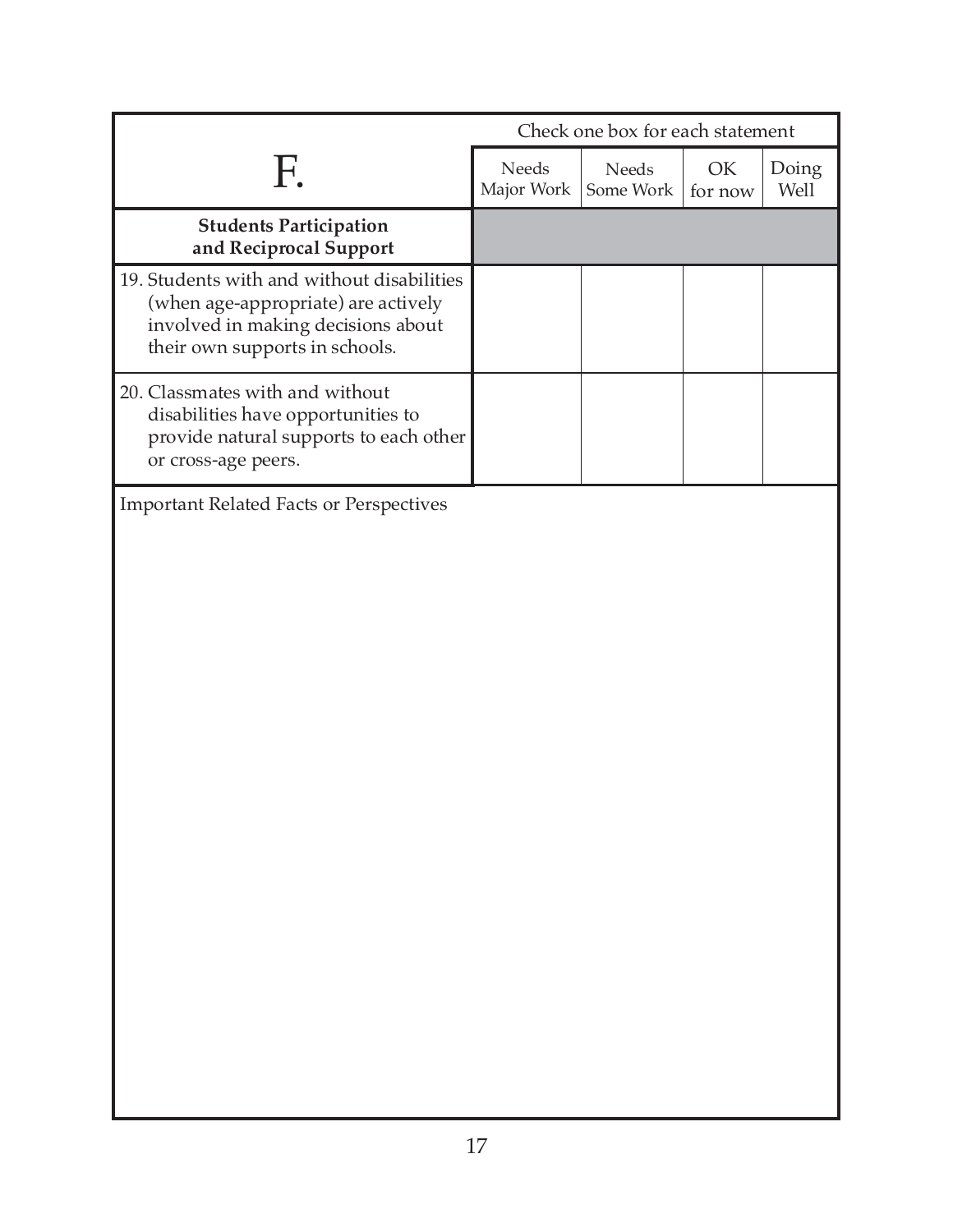|                                                                                                                                                           |                            |                    | Check one box for each statement |               |  |
|-----------------------------------------------------------------------------------------------------------------------------------------------------------|----------------------------|--------------------|----------------------------------|---------------|--|
| F.                                                                                                                                                        | <b>Needs</b><br>Major Work | Needs<br>Some Work | OK<br>for now                    | Doing<br>Well |  |
| <b>Students Participation</b><br>and Reciprocal Support                                                                                                   |                            |                    |                                  |               |  |
| 19. Students with and without disabilities<br>(when age-appropriate) are actively<br>involved in making decisions about<br>their own supports in schools. |                            |                    |                                  |               |  |
| 20. Classmates with and without<br>disabilities have opportunities to<br>provide natural supports to each other<br>or cross-age peers.                    |                            |                    |                                  |               |  |
| <b>Important Related Facts or Perspectives</b>                                                                                                            |                            |                    |                                  |               |  |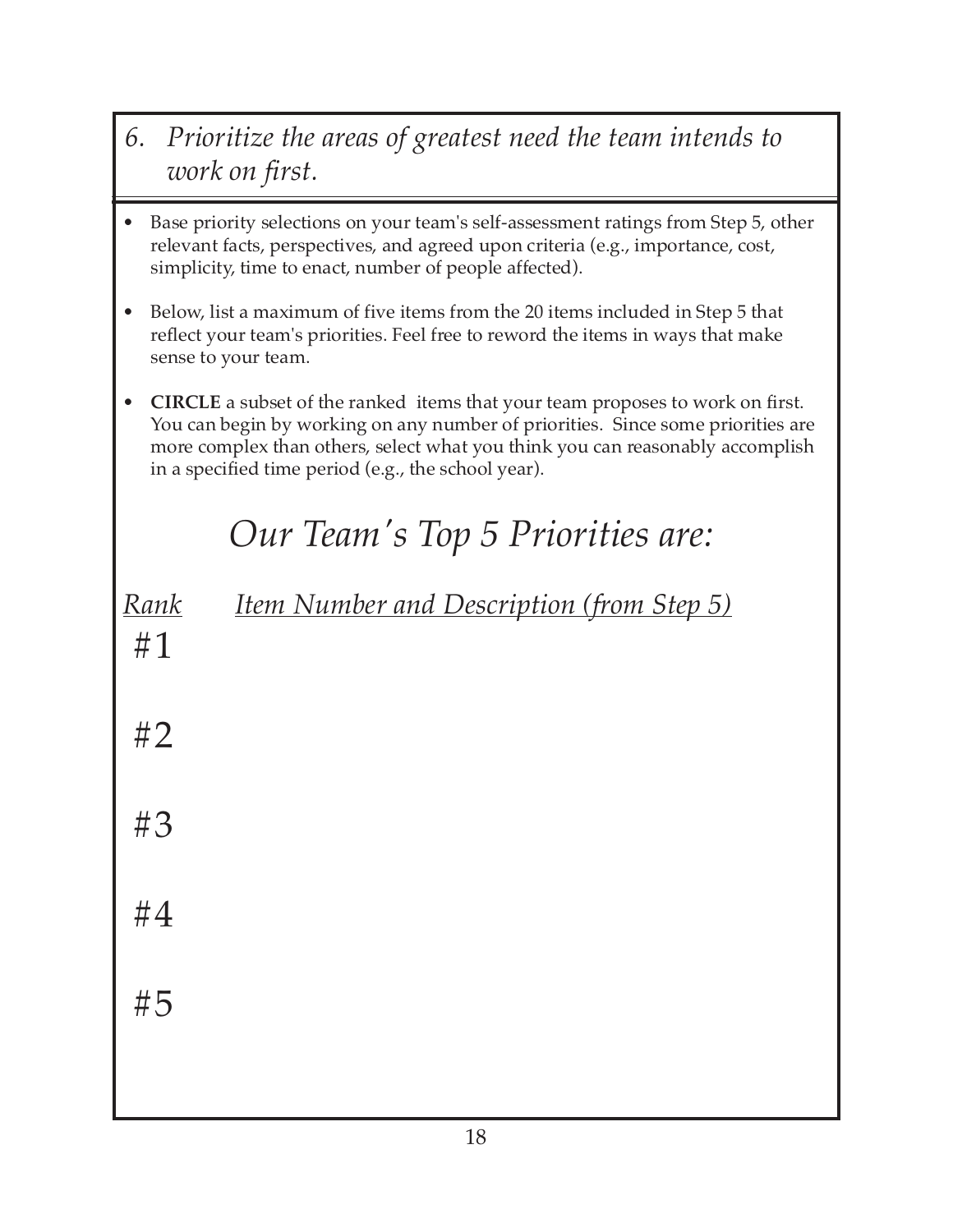- *6. Prioritize the areas of greatest need the team intends to work on first.*
- Base priority selections on your team's self-assessment ratings from Step 5, other relevant facts, perspectives, and agreed upon criteria (e.g., importance, cost, simplicity, time to enact, number of people affected).
- Below, list a maximum of five items from the 20 items included in Step 5 that reflect your team's priorities. Feel free to reword the items in ways that make sense to your team.
- **CIRCLE** a subset of the ranked items that your team proposes to work on first. You can begin by working on any number of priorities. Since some priorities are more complex than others, select what you think you can reasonably accomplish in a specified time period (e.g., the school year).

# *Our Team's Top 5 Priorities are:*

| <u>Rank</u><br>#1 | <b>Item Number and Description (from Step 5)</b> |
|-------------------|--------------------------------------------------|
| #2                |                                                  |
| #3                |                                                  |
| #4                |                                                  |
| #5                |                                                  |
|                   | $\sim$                                           |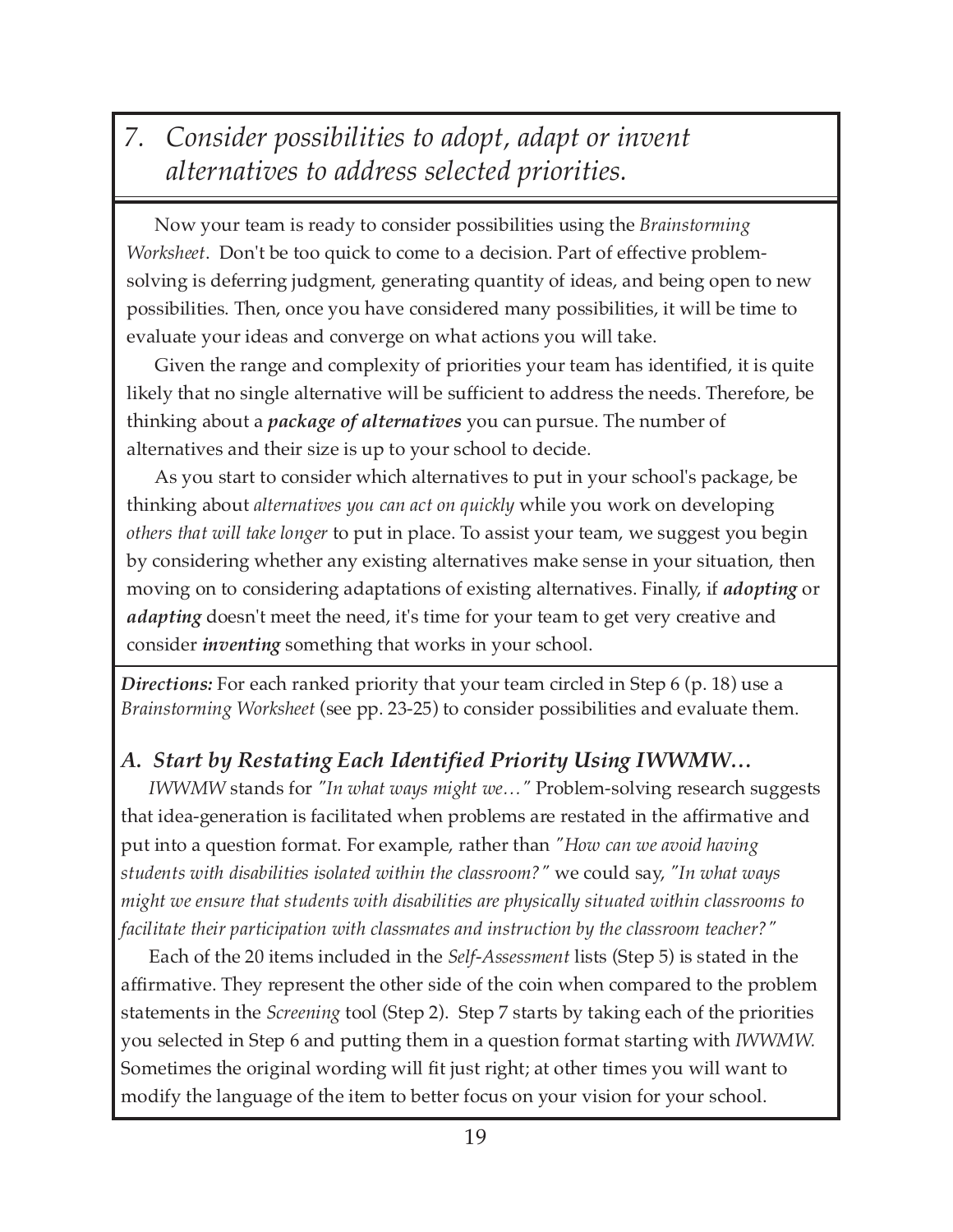## *7. Consider possibilities to adopt, adapt or invent alternatives to address selected priorities.*

Now your team is ready to consider possibilities using the *Brainstorming Worksheet*. Don't be too quick to come to a decision. Part of effective problemsolving is deferring judgment, generating quantity of ideas, and being open to new possibilities. Then, once you have considered many possibilities, it will be time to evaluate your ideas and converge on what actions you will take.

Given the range and complexity of priorities your team has identified, it is quite likely that no single alternative will be sufficient to address the needs. Therefore, be thinking about a *package of alternatives* you can pursue. The number of alternatives and their size is up to your school to decide.

As you start to consider which alternatives to put in your school's package, be thinking about *alternatives you can act on quickly* while you work on developing *others that will take longer* to put in place. To assist your team, we suggest you begin by considering whether any existing alternatives make sense in your situation, then moving on to considering adaptations of existing alternatives. Finally, if *adopting* or *adapting* doesn't meet the need, it's time for your team to get very creative and consider *inventing* something that works in your school.

*Directions:* For each ranked priority that your team circled in Step 6 (p. 18) use a *Brainstorming Worksheet* (see pp. 23-25) to consider possibilities and evaluate them.

#### *A. Start by Restating Each Identified Priority Using IWWMW…*

*IWWMW* stands for *"In what ways might we…"* Problem-solving research suggests that idea-generation is facilitated when problems are restated in the affirmative and put into a question format. For example, rather than *"How can we avoid having students with disabilities isolated within the classroom?"* we could say, *"In what ways might we ensure that students with disabilities are physically situated within classrooms to facilitate their participation with classmates and instruction by the classroom teacher?"*

Each of the 20 items included in the *Self-Assessment* lists (Step 5) is stated in the affirmative. They represent the other side of the coin when compared to the problem statements in the *Screening* tool (Step 2). Step 7 starts by taking each of the priorities you selected in Step 6 and putting them in a question format starting with *IWWMW.* Sometimes the original wording will fit just right; at other times you will want to modify the language of the item to better focus on your vision for your school.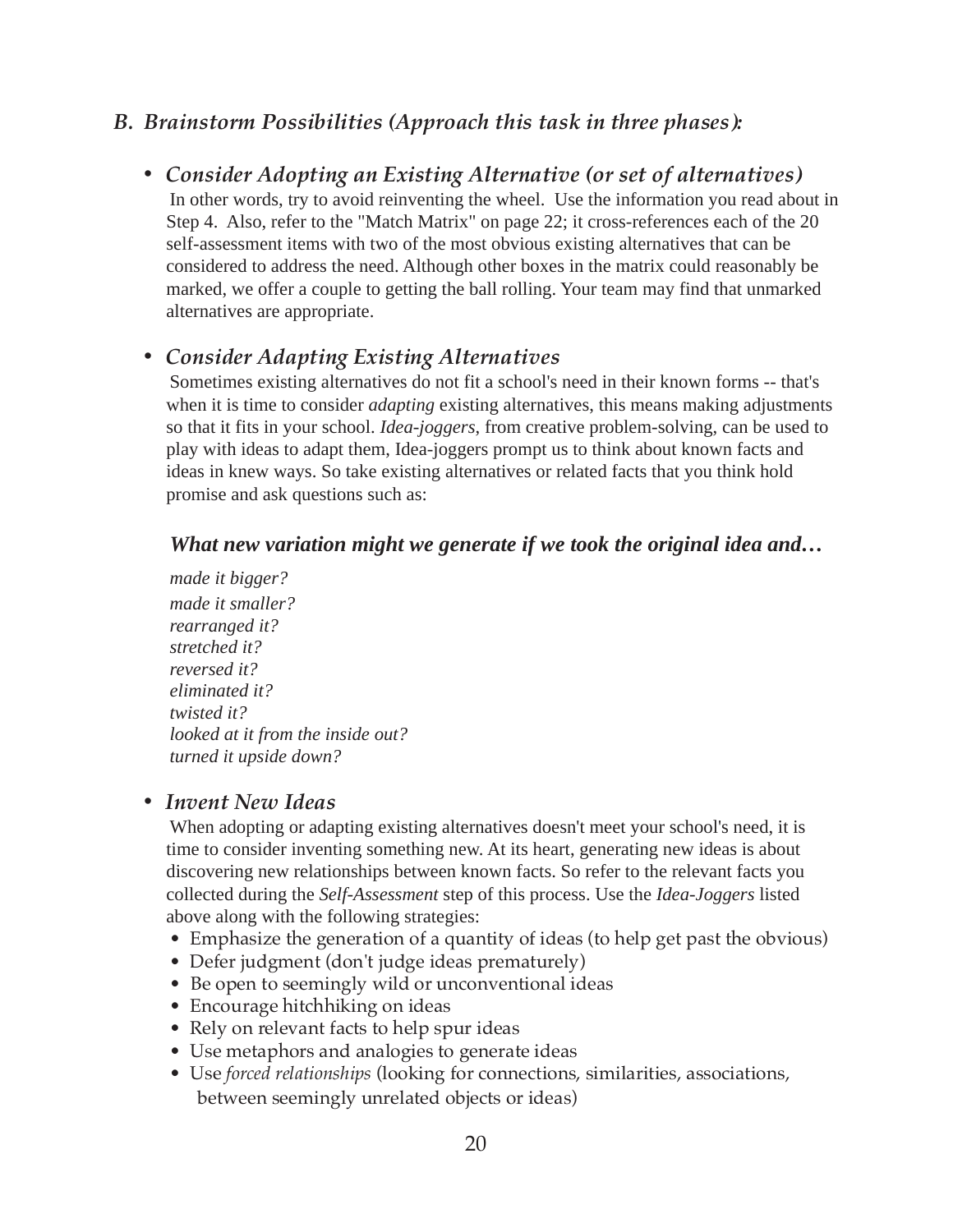#### *B. Brainstorm Possibilities (Approach this task in three phases):*

*• Consider Adopting an Existing Alternative (or set of alternatives)* In other words, try to avoid reinventing the wheel. Use the information you read about in Step 4. Also, refer to the "Match Matrix" on page 22; it cross-references each of the 20 self-assessment items with two of the most obvious existing alternatives that can be considered to address the need. Although other boxes in the matrix could reasonably be marked, we offer a couple to getting the ball rolling. Your team may find that unmarked alternatives are appropriate.

#### *• Consider Adapting Existing Alternatives*

Sometimes existing alternatives do not fit a school's need in their known forms -- that's when it is time to consider *adapting* existing alternatives, this means making adjustments so that it fits in your school. *Idea-joggers*, from creative problem-solving, can be used to play with ideas to adapt them, Idea-joggers prompt us to think about known facts and ideas in knew ways. So take existing alternatives or related facts that you think hold promise and ask questions such as:

#### *What new variation might we generate if we took the original idea and…*

*made it bigger? made it smaller? rearranged it? stretched it? reversed it? eliminated it? twisted it? looked at it from the inside out? turned it upside down?*

#### *• Invent New Ideas*

When adopting or adapting existing alternatives doesn't meet your school's need, it is time to consider inventing something new. At its heart, generating new ideas is about discovering new relationships between known facts. So refer to the relevant facts you collected during the *Self-Assessment* step of this process. Use the *Idea-Joggers* listed above along with the following strategies:

- Emphasize the generation of a quantity of ideas (to help get past the obvious)
- Defer judgment (don't judge ideas prematurely)
- Be open to seemingly wild or unconventional ideas
- Encourage hitchhiking on ideas
- Rely on relevant facts to help spur ideas
- Use metaphors and analogies to generate ideas
- Use *forced relationships* (looking for connections, similarities, associations, between seemingly unrelated objects or ideas)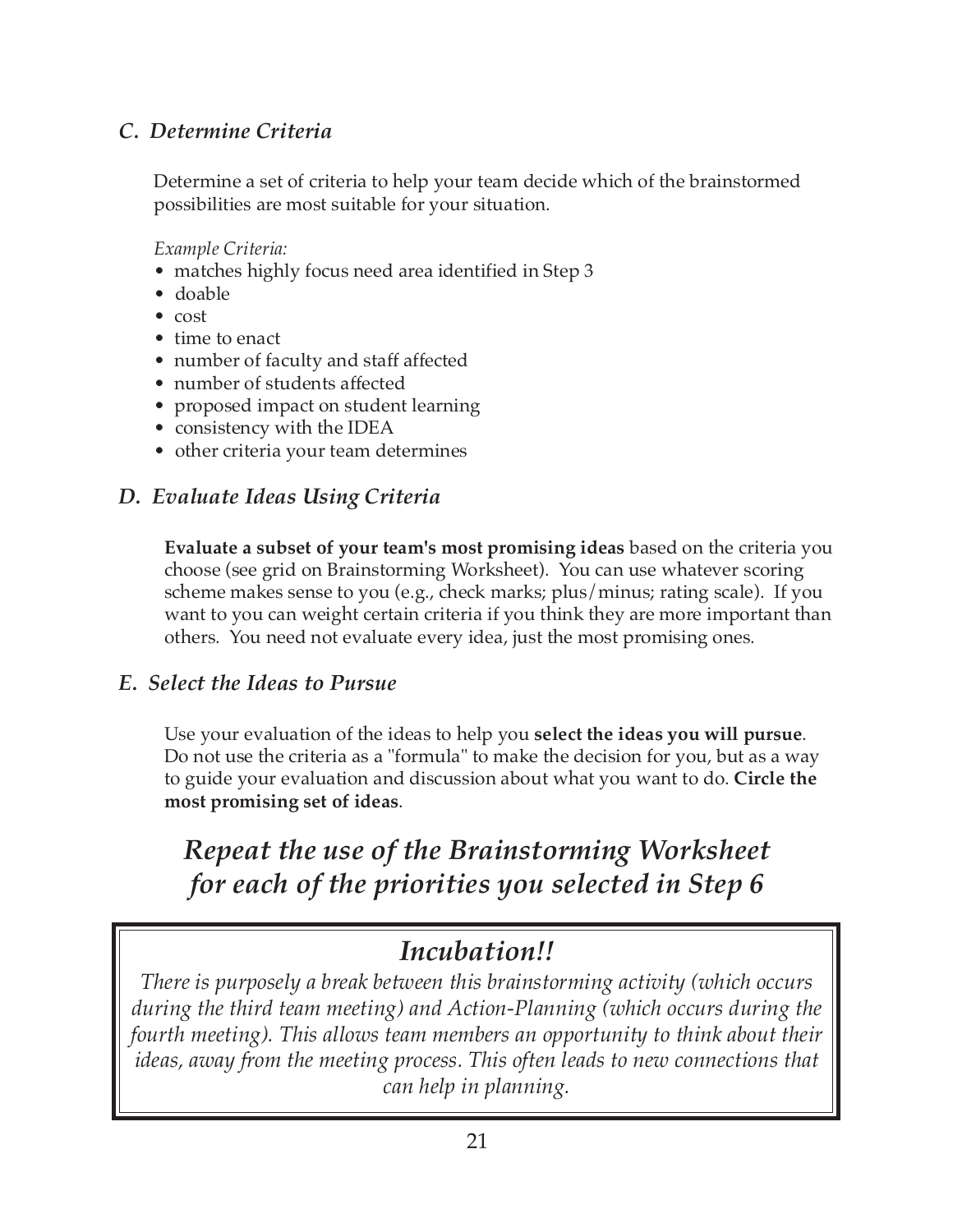#### *C. Determine Criteria*

Determine a set of criteria to help your team decide which of the brainstormed possibilities are most suitable for your situation.

*Example Criteria:*

- matches highly focus need area identified in Step 3
- doable
- cost
- time to enact
- number of faculty and staff affected
- number of students affected
- proposed impact on student learning
- consistency with the IDEA
- other criteria your team determines

#### *D. Evaluate Ideas Using Criteria*

**Evaluate a subset of your team's most promising ideas** based on the criteria you choose (see grid on Brainstorming Worksheet). You can use whatever scoring scheme makes sense to you (e.g., check marks; plus/minus; rating scale). If you want to you can weight certain criteria if you think they are more important than others. You need not evaluate every idea, just the most promising ones.

#### *E. Select the Ideas to Pursue*

Use your evaluation of the ideas to help you **select the ideas you will pursue**. Do not use the criteria as a "formula" to make the decision for you, but as a way to guide your evaluation and discussion about what you want to do. **Circle the most promising set of ideas**.

## *Repeat the use of the Brainstorming Worksheet for each of the priorities you selected in Step 6*

### *Incubation!!*

*There is purposely a break between this brainstorming activity (which occurs during the third team meeting) and Action-Planning (which occurs during the fourth meeting). This allows team members an opportunity to think about their ideas, away from the meeting process. This often leads to new connections that can help in planning.*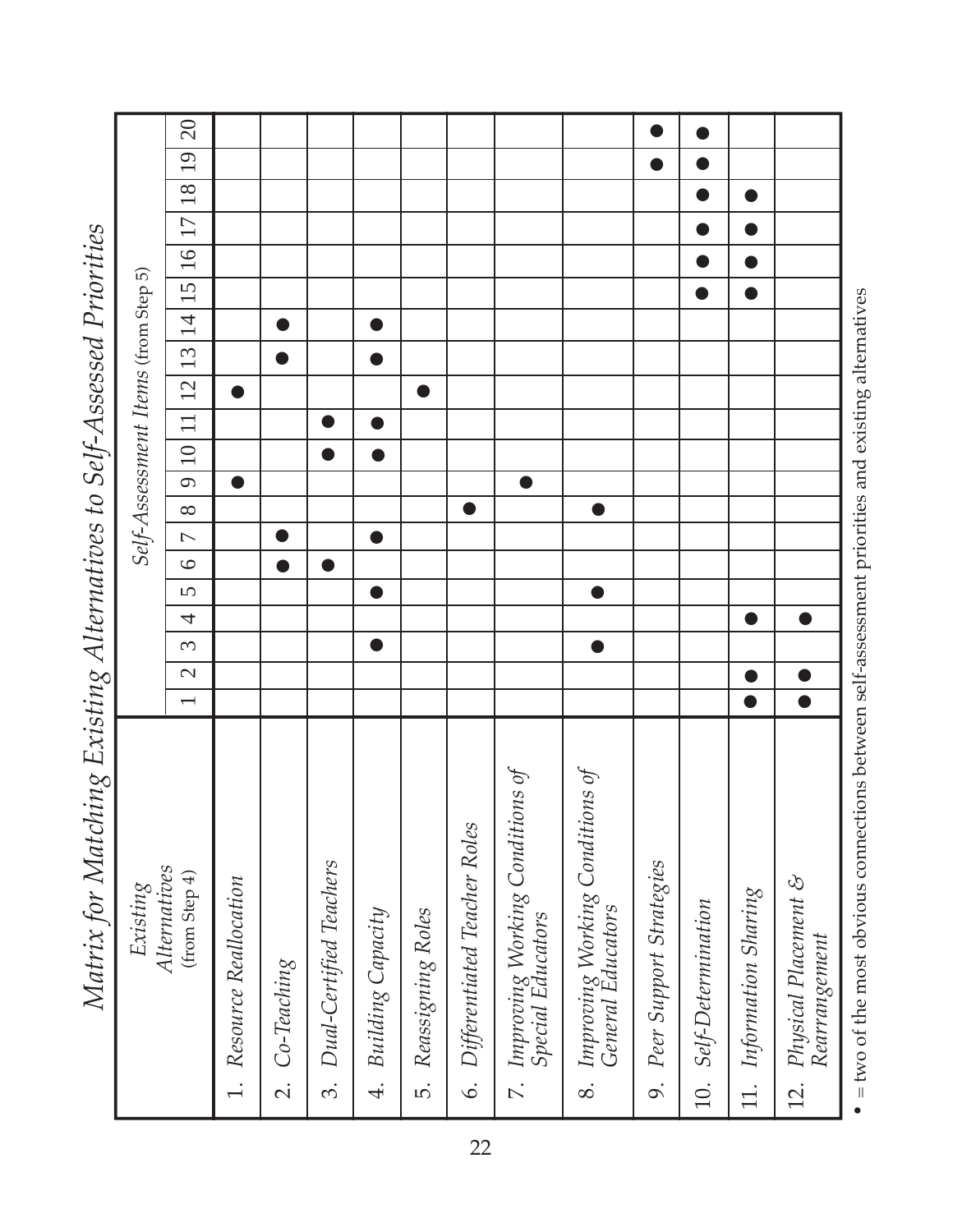| lylatrix for lylatching Existing Alternatives to 5elf-Assessea Priorities. |                          |               |           |                |                |           |                |           |           |                 |           |           |           |                |                                     |           |           |           |           |           |
|----------------------------------------------------------------------------|--------------------------|---------------|-----------|----------------|----------------|-----------|----------------|-----------|-----------|-----------------|-----------|-----------|-----------|----------------|-------------------------------------|-----------|-----------|-----------|-----------|-----------|
| Existing                                                                   |                          |               |           |                |                |           |                |           |           |                 |           |           |           |                | Self-Assessment Items (from Step 5) |           |           |           |           |           |
| Alternatives<br>(from Step 4)                                              | $\overline{\phantom{0}}$ | $\mathcal{L}$ | $\infty$  | $\overline{4}$ | $\overline{S}$ | $\circ$   | $\overline{C}$ | $\infty$  | $\circ$   | $\overline{10}$ | $\Box$    | 12        | 13        | $\overline{1}$ | 15                                  | 16        | 17        | 18        | 19        | $\Omega$  |
| Resource Reallocation<br>$\overline{\phantom{a}}$                          |                          |               |           |                |                |           |                |           | $\bullet$ |                 |           | $\bullet$ |           |                |                                     |           |           |           |           |           |
| $Co-Teaching$<br>$\overline{\mathcal{N}}$                                  |                          |               |           |                |                | $\bullet$ |                |           |           |                 |           |           |           | ●              |                                     |           |           |           |           |           |
| Dual-Certified Teachers<br><u>က်</u>                                       |                          |               |           |                |                | $\bullet$ |                |           |           | D               |           |           |           |                |                                     |           |           |           |           |           |
| Building Capacity<br>$\ddot{ }$                                            |                          |               | $\bullet$ |                | $\bullet$      |           | $\bullet$      |           |           | $\bullet$       | $\bullet$ |           | $\bullet$ | $\bullet$      |                                     |           |           |           |           |           |
| Reassigning Roles<br>ທ່                                                    |                          |               |           |                |                |           |                |           |           |                 |           | $\bullet$ |           |                |                                     |           |           |           |           |           |
| Differentiated Teacher Roles<br>$\dot{\circ}$                              |                          |               |           |                |                |           |                | $\bullet$ |           |                 |           |           |           |                |                                     |           |           |           |           |           |
| 7. Improving Working Conditions of<br>Special Educators                    |                          |               |           |                |                |           |                |           |           |                 |           |           |           |                |                                     |           |           |           |           |           |
| Improving Working Conditions of<br>General Educators<br>$\infty$           |                          |               |           |                | $\bullet$      |           |                | $\bullet$ |           |                 |           |           |           |                |                                     |           |           |           |           |           |
| Peer Support Strategies<br>o.                                              |                          |               |           |                |                |           |                |           |           |                 |           |           |           |                |                                     |           |           |           | $\bullet$ | $\bullet$ |
| 10. Self-Determination                                                     |                          |               |           |                |                |           |                |           |           |                 |           |           |           |                | $\bullet$                           | $\bullet$ | $\bullet$ | $\bullet$ | $\bullet$ | $\bullet$ |
| Information Sharing<br>11.                                                 | $\bullet$                | $\bullet$     |           | $\bullet$      |                |           |                |           |           |                 |           |           |           |                | $\bullet$                           |           |           |           |           |           |
| Physical Placement &<br>Rearrangement<br>$\frac{1}{2}$                     | $\overline{\bullet}$     | $\bullet$     |           | $\bullet$      |                |           |                |           |           |                 |           |           |           |                |                                     |           |           |           |           |           |
|                                                                            |                          |               |           |                |                |           |                |           |           |                 |           |           |           |                |                                     |           |           |           |           |           |

od Drioritios *Matrix for Matching Existing Alternatives to Self-Assessed Priorities*  $\mathbf{r}$  $\ddot{\cdot}$ Matrix for Matolina Evicting Altownstipso to Colf Acc.

• = two of the most obvious connections between self-assessment priorities and existing alternatives  $\bullet$  = two of the most obvious connections between self-assessment priorities and existing alternatives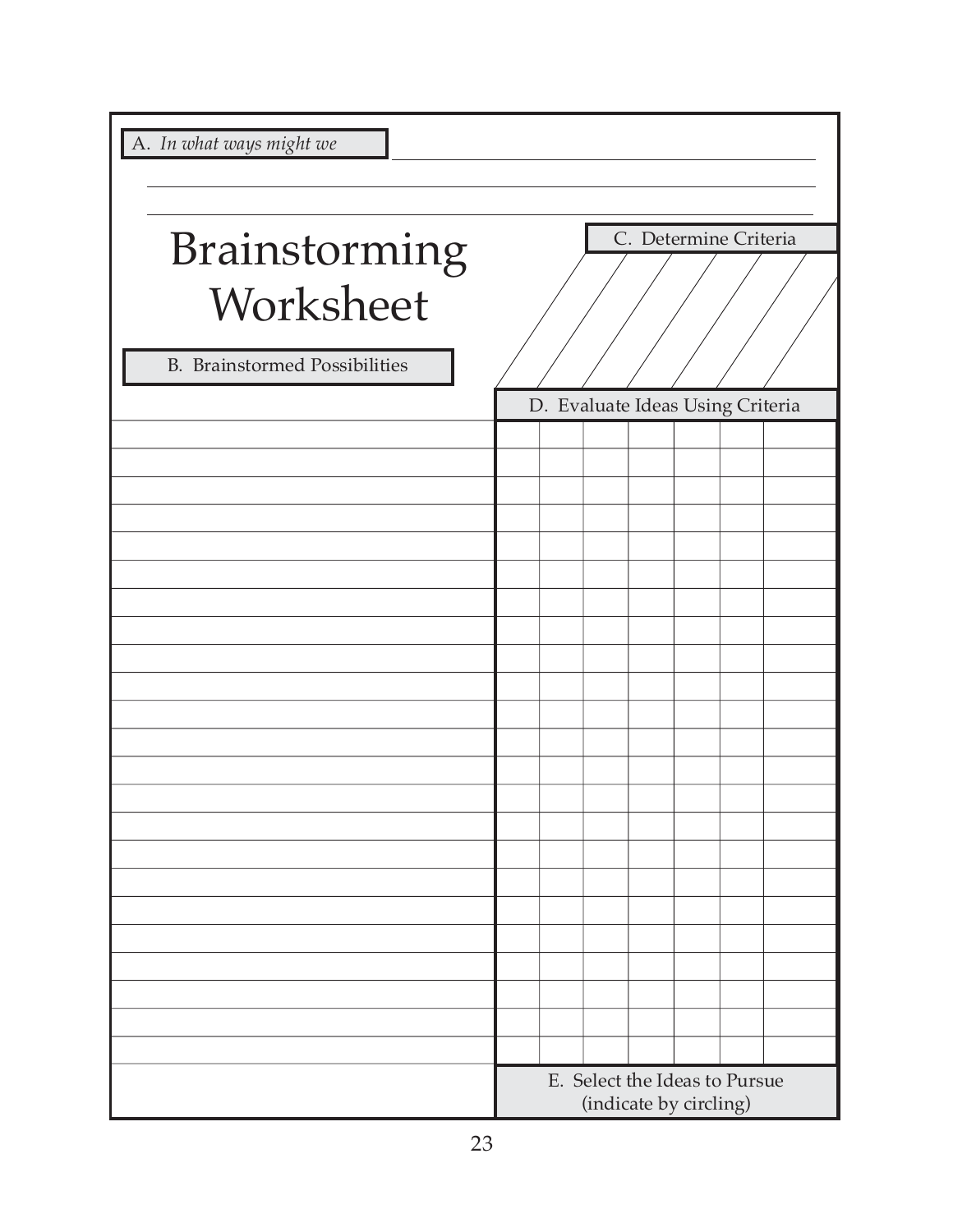|  |  | A. In what ways might we |  |
|--|--|--------------------------|--|
|  |  |                          |  |

| A. In what ways might we                          |  |  |                                                         |  |
|---------------------------------------------------|--|--|---------------------------------------------------------|--|
|                                                   |  |  |                                                         |  |
| Brainstorming                                     |  |  | C. Determine Criteria                                   |  |
| Worksheet<br><b>B.</b> Brainstormed Possibilities |  |  |                                                         |  |
|                                                   |  |  | D. Evaluate Ideas Using Criteria                        |  |
|                                                   |  |  |                                                         |  |
|                                                   |  |  |                                                         |  |
|                                                   |  |  |                                                         |  |
|                                                   |  |  |                                                         |  |
|                                                   |  |  |                                                         |  |
|                                                   |  |  |                                                         |  |
|                                                   |  |  |                                                         |  |
|                                                   |  |  |                                                         |  |
|                                                   |  |  |                                                         |  |
|                                                   |  |  |                                                         |  |
|                                                   |  |  |                                                         |  |
|                                                   |  |  |                                                         |  |
|                                                   |  |  |                                                         |  |
|                                                   |  |  |                                                         |  |
|                                                   |  |  |                                                         |  |
|                                                   |  |  |                                                         |  |
|                                                   |  |  |                                                         |  |
|                                                   |  |  |                                                         |  |
|                                                   |  |  |                                                         |  |
|                                                   |  |  | E. Select the Ideas to Pursue<br>(indicate by circling) |  |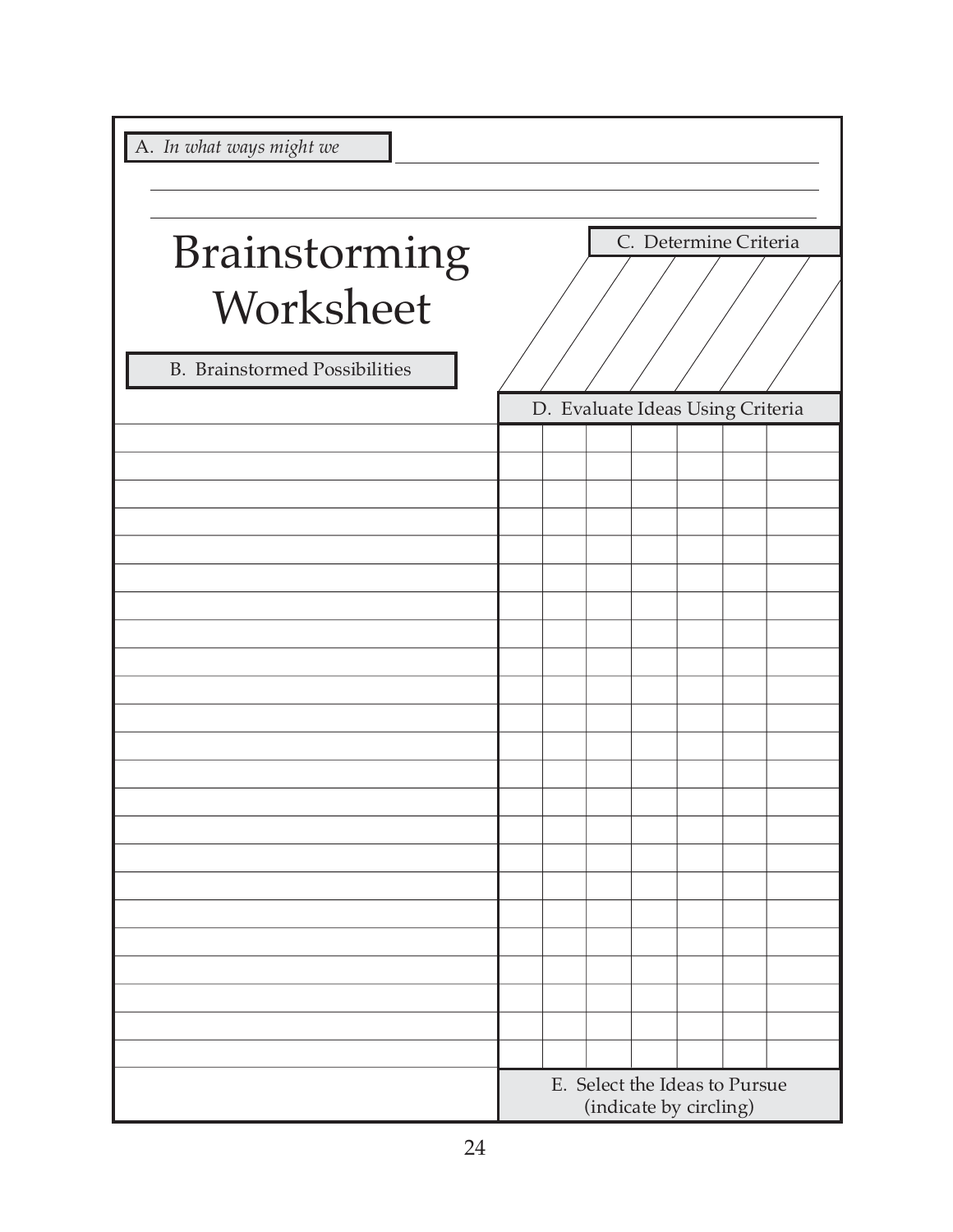| A. In what ways might we                                           |  |  |                                                         |  |
|--------------------------------------------------------------------|--|--|---------------------------------------------------------|--|
|                                                                    |  |  |                                                         |  |
| Brainstorming<br>Worksheet<br><b>B.</b> Brainstormed Possibilities |  |  | C. Determine Criteria                                   |  |
|                                                                    |  |  | D. Evaluate Ideas Using Criteria                        |  |
|                                                                    |  |  |                                                         |  |
|                                                                    |  |  |                                                         |  |
|                                                                    |  |  |                                                         |  |
|                                                                    |  |  |                                                         |  |
|                                                                    |  |  |                                                         |  |
|                                                                    |  |  |                                                         |  |
|                                                                    |  |  |                                                         |  |
|                                                                    |  |  |                                                         |  |
|                                                                    |  |  |                                                         |  |
|                                                                    |  |  |                                                         |  |
|                                                                    |  |  |                                                         |  |
|                                                                    |  |  | E. Select the Ideas to Pursue<br>(indicate by circling) |  |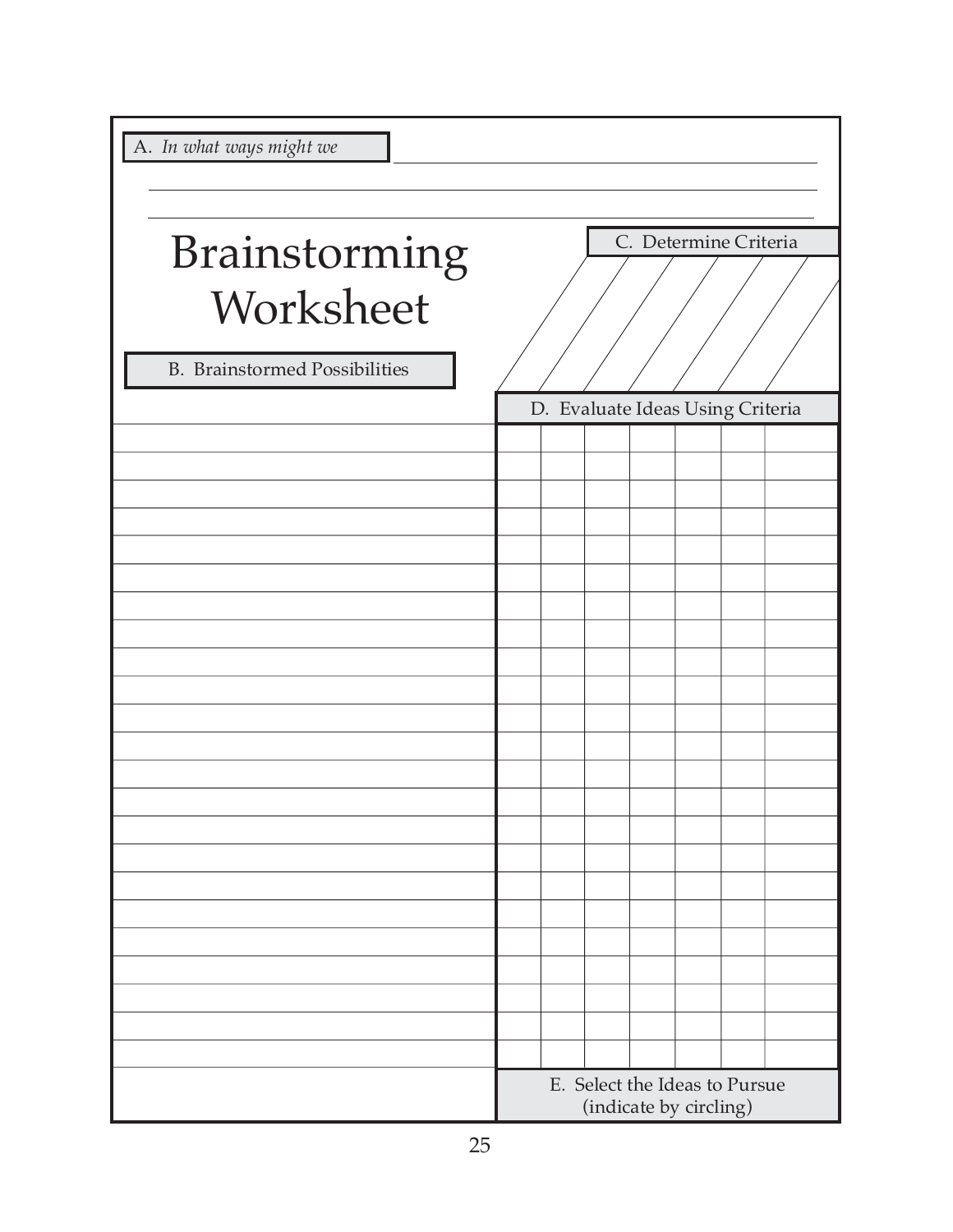| A. In what ways might we                          |  |  |                                                         |  |
|---------------------------------------------------|--|--|---------------------------------------------------------|--|
|                                                   |  |  |                                                         |  |
| Brainstorming                                     |  |  | C. Determine Criteria                                   |  |
| Worksheet<br><b>B.</b> Brainstormed Possibilities |  |  |                                                         |  |
|                                                   |  |  | D. Evaluate Ideas Using Criteria                        |  |
|                                                   |  |  |                                                         |  |
|                                                   |  |  |                                                         |  |
|                                                   |  |  |                                                         |  |
|                                                   |  |  |                                                         |  |
|                                                   |  |  |                                                         |  |
|                                                   |  |  |                                                         |  |
|                                                   |  |  |                                                         |  |
|                                                   |  |  |                                                         |  |
|                                                   |  |  |                                                         |  |
|                                                   |  |  |                                                         |  |
|                                                   |  |  |                                                         |  |
|                                                   |  |  |                                                         |  |
|                                                   |  |  |                                                         |  |
|                                                   |  |  |                                                         |  |
|                                                   |  |  |                                                         |  |
|                                                   |  |  |                                                         |  |
|                                                   |  |  |                                                         |  |
|                                                   |  |  |                                                         |  |
|                                                   |  |  |                                                         |  |
|                                                   |  |  |                                                         |  |
|                                                   |  |  | E. Select the Ideas to Pursue<br>(indicate by circling) |  |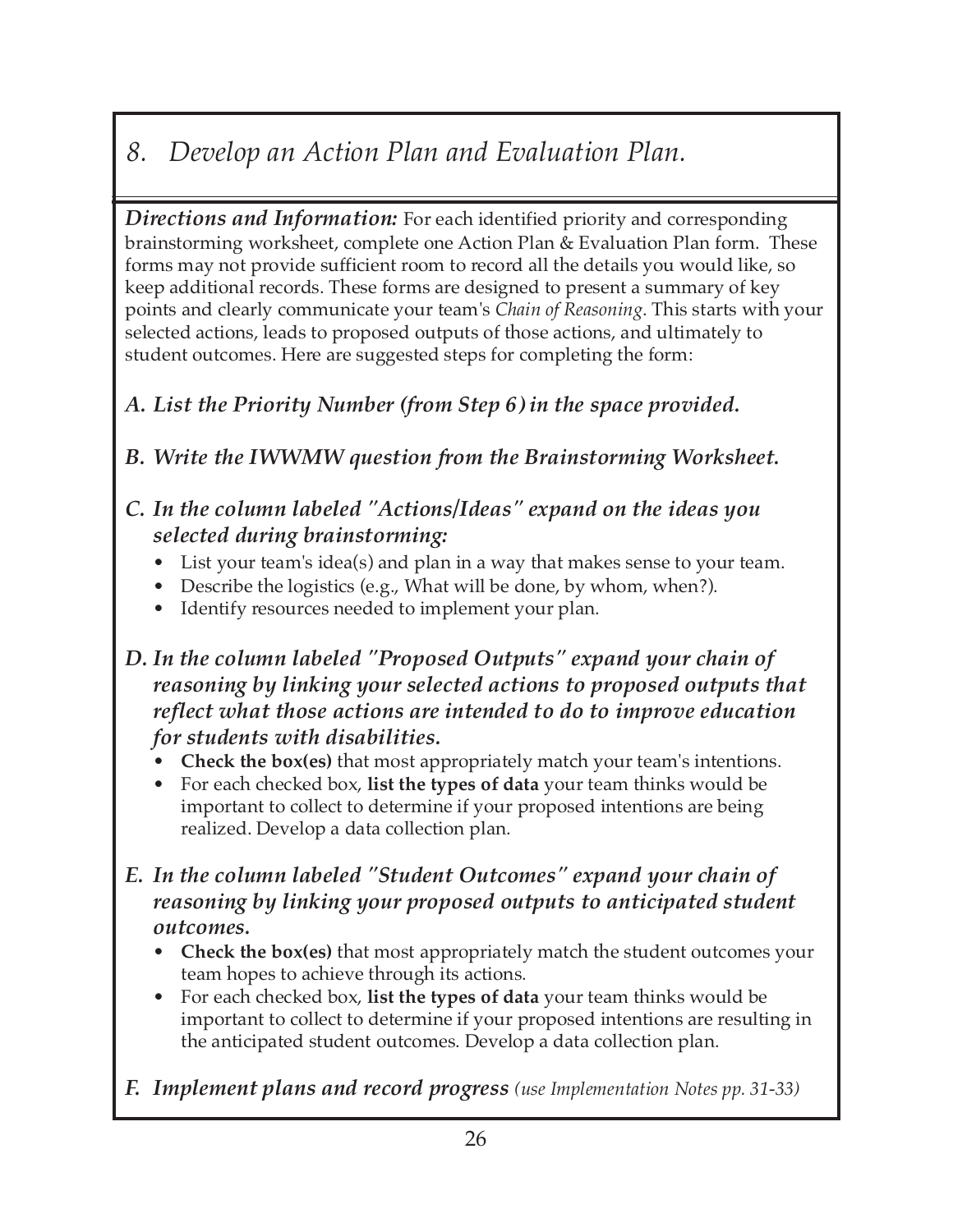### *8. Develop an Action Plan and Evaluation Plan.*

*Directions and Information:* For each identified priority and corresponding brainstorming worksheet, complete one Action Plan & Evaluation Plan form. These forms may not provide sufficient room to record all the details you would like, so keep additional records. These forms are designed to present a summary of key points and clearly communicate your team's *Chain of Reasoning*. This starts with your selected actions, leads to proposed outputs of those actions, and ultimately to student outcomes. Here are suggested steps for completing the form:

#### *A. List the Priority Number (from Step 6) in the space provided.*

*B. Write the IWWMW question from the Brainstorming Worksheet.*

#### *C. In the column labeled "Actions/Ideas" expand on the ideas you selected during brainstorming:*

- List your team's idea(s) and plan in a way that makes sense to your team.
- Describe the logistics (e.g., What will be done, by whom, when?).
- Identify resources needed to implement your plan.

*D. In the column labeled "Proposed Outputs" expand your chain of reasoning by linking your selected actions to proposed outputs that reflect what those actions are intended to do to improve education for students with disabilities.*

- **Check the box(es)** that most appropriately match your team's intentions.
- For each checked box, **list the types of data** your team thinks would be important to collect to determine if your proposed intentions are being realized. Develop a data collection plan.
- *E. In the column labeled "Student Outcomes" expand your chain of reasoning by linking your proposed outputs to anticipated student outcomes.*
	- **Check the box(es)** that most appropriately match the student outcomes your team hopes to achieve through its actions.
	- For each checked box, **list the types of data** your team thinks would be important to collect to determine if your proposed intentions are resulting in the anticipated student outcomes. Develop a data collection plan.
- *F. Implement plans and record progress (use Implementation Notes pp. 31-33)*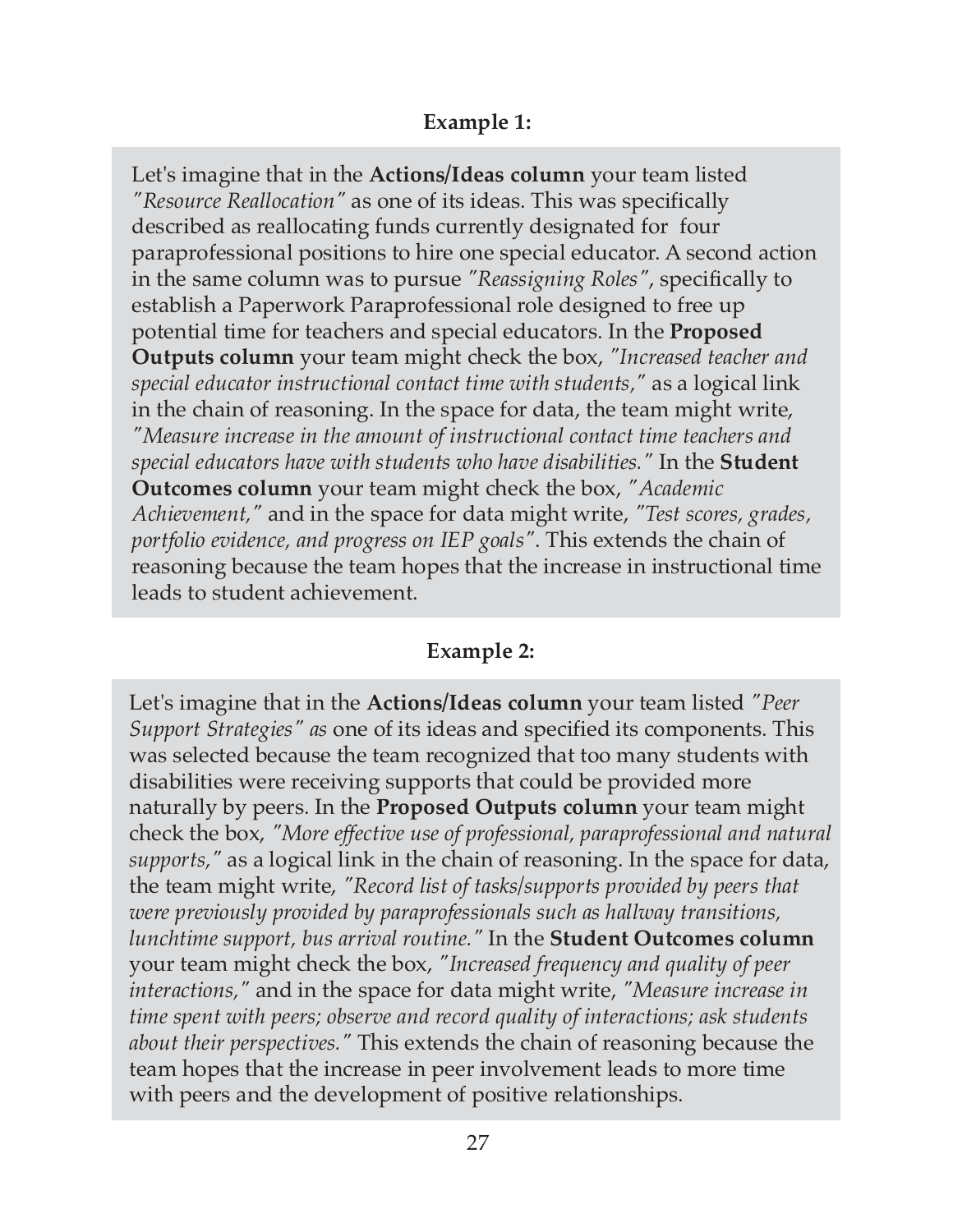#### **Example 1:**

Let's imagine that in the **Actions/Ideas column** your team listed *"Resource Reallocation"* as one of its ideas. This was specifically described as reallocating funds currently designated for four paraprofessional positions to hire one special educator. A second action in the same column was to pursue *"Reassigning Roles"*, specifically to establish a Paperwork Paraprofessional role designed to free up potential time for teachers and special educators. In the **Proposed Outputs column** your team might check the box, *"Increased teacher and special educator instructional contact time with students,"* as a logical link in the chain of reasoning. In the space for data, the team might write, *"Measure increase in the amount of instructional contact time teachers and special educators have with students who have disabilities."* In the **Student Outcomes column** your team might check the box, *"Academic Achievement,"* and in the space for data might write, *"Test scores, grades, portfolio evidence, and progress on IEP goals"*. This extends the chain of reasoning because the team hopes that the increase in instructional time leads to student achievement.

#### **Example 2:**

Let's imagine that in the **Actions/Ideas column** your team listed *"Peer Support Strategies" as* one of its ideas and specified its components. This was selected because the team recognized that too many students with disabilities were receiving supports that could be provided more naturally by peers. In the **Proposed Outputs column** your team might check the box, *"More effective use of professional, paraprofessional and natural supports,"* as a logical link in the chain of reasoning. In the space for data, the team might write, *"Record list of tasks/supports provided by peers that were previously provided by paraprofessionals such as hallway transitions, lunchtime support, bus arrival routine."* In the **Student Outcomes column** your team might check the box, *"Increased frequency and quality of peer interactions,"* and in the space for data might write, *"Measure increase in time spent with peers; observe and record quality of interactions; ask students about their perspectives."* This extends the chain of reasoning because the team hopes that the increase in peer involvement leads to more time with peers and the development of positive relationships.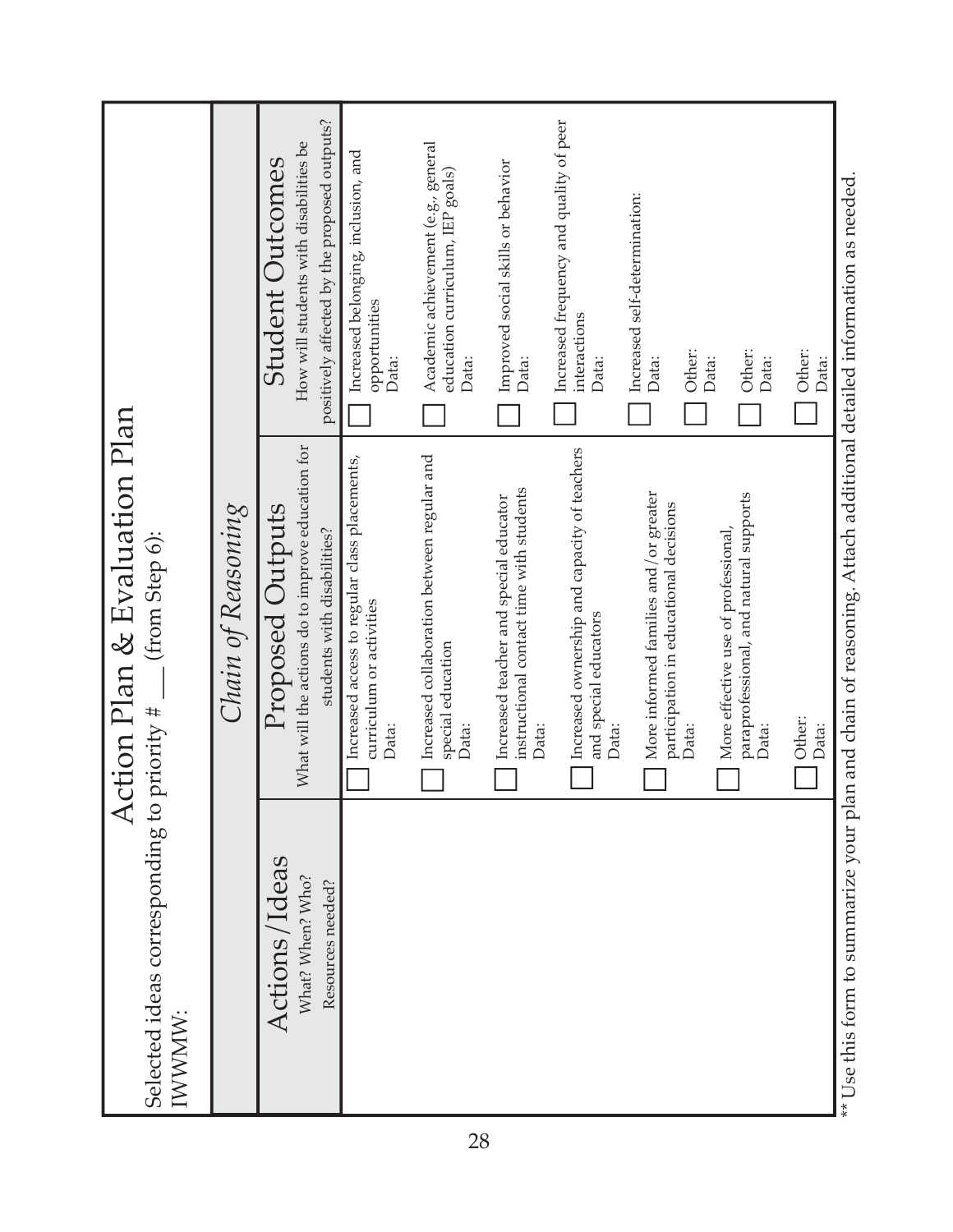| Selected ideas corresponding to<br>IWWMMV:             | ction Plan & Evaluation Plan<br>(from Step 6):<br>priority $#$ —                                     |                                                                                                            |
|--------------------------------------------------------|------------------------------------------------------------------------------------------------------|------------------------------------------------------------------------------------------------------------|
|                                                        | Chain of Reasoning                                                                                   |                                                                                                            |
| Actions/Ideas<br>What? When? Who?<br>Resources needed? | What will the actions do to improve education for<br>Proposed Outputs<br>students with disabilities? | positively affected by the proposed outputs?<br>How will students with disabilities be<br>Student Outcomes |
|                                                        | Increased access to regular class placements,<br>curriculum or activities<br>Data:                   | Increased belonging, inclusion, and<br>opportunities<br>Data:                                              |
|                                                        | Increased collaboration between regular and<br>special education<br>Data:                            | Academic achievement (e.g., general<br>education curriculum, IEP goals)<br>Data:                           |
|                                                        | instructional contact time with students<br>Increased teacher and special educator<br>Data:          | Improved social skills or behavior<br>Data:                                                                |
|                                                        | Increased ownership and capacity of teachers<br>and special educators<br>Data:                       | Increased frequency and quality of peer<br>interactions<br>Data:                                           |
|                                                        | More informed families and/or greater<br>participation in educational decisions<br>Data:             | Increased self-determination:<br>Other:<br>Data:                                                           |
|                                                        | paraprofessional, and natural supports<br>More effective use of professional,<br>Data:               | Other:<br>Data:<br>Data:                                                                                   |
|                                                        | Other:<br>Data:                                                                                      | Other:<br>Data:                                                                                            |

\*\* Use this form to summarize your plan and chain of reasoning. Attach additional detailed information as needed.  $\dot{\alpha}$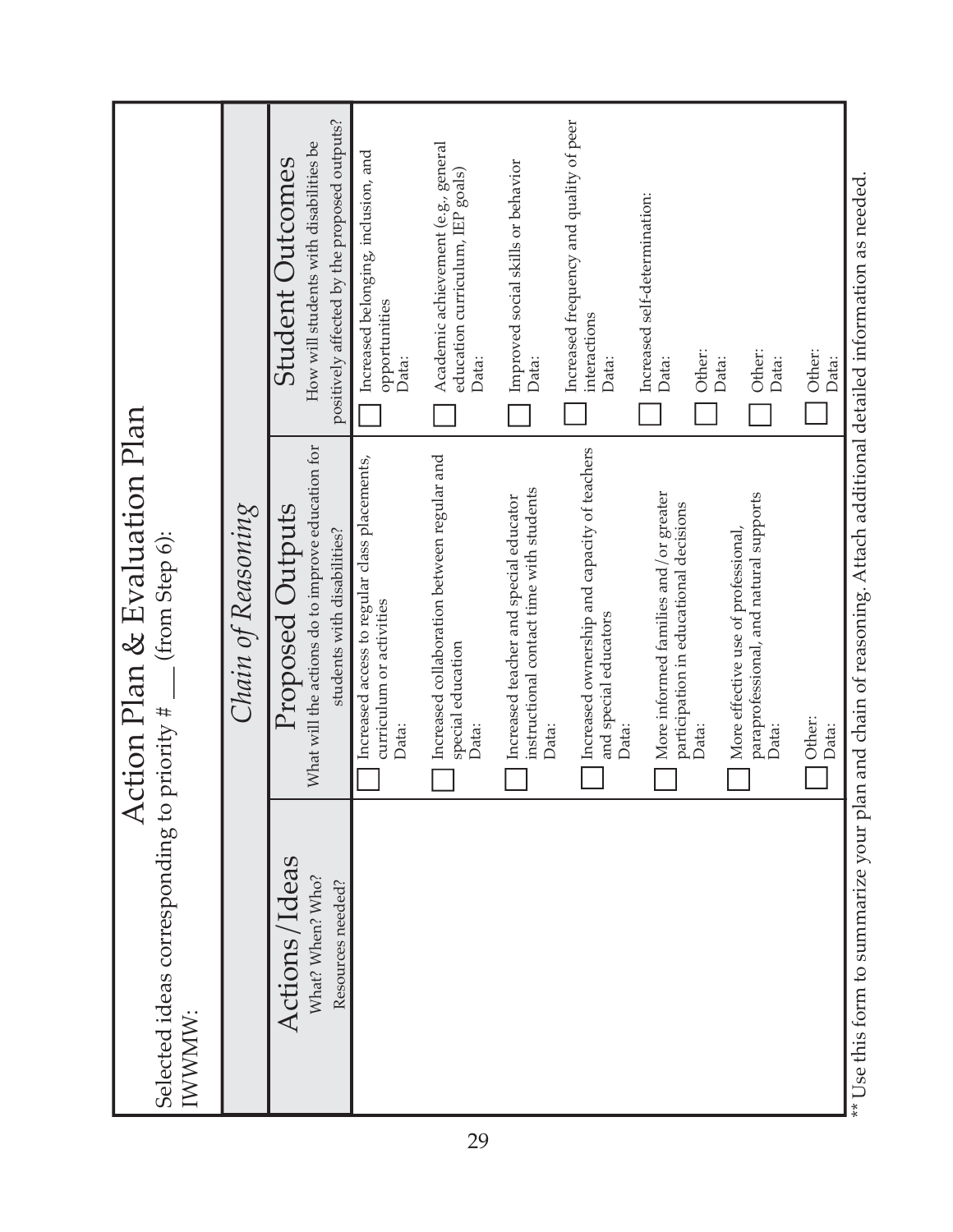\*\* Use this form to summarize your plan and chain of reasoning. Attach additional detailed information as needed.  $\dot{\alpha}$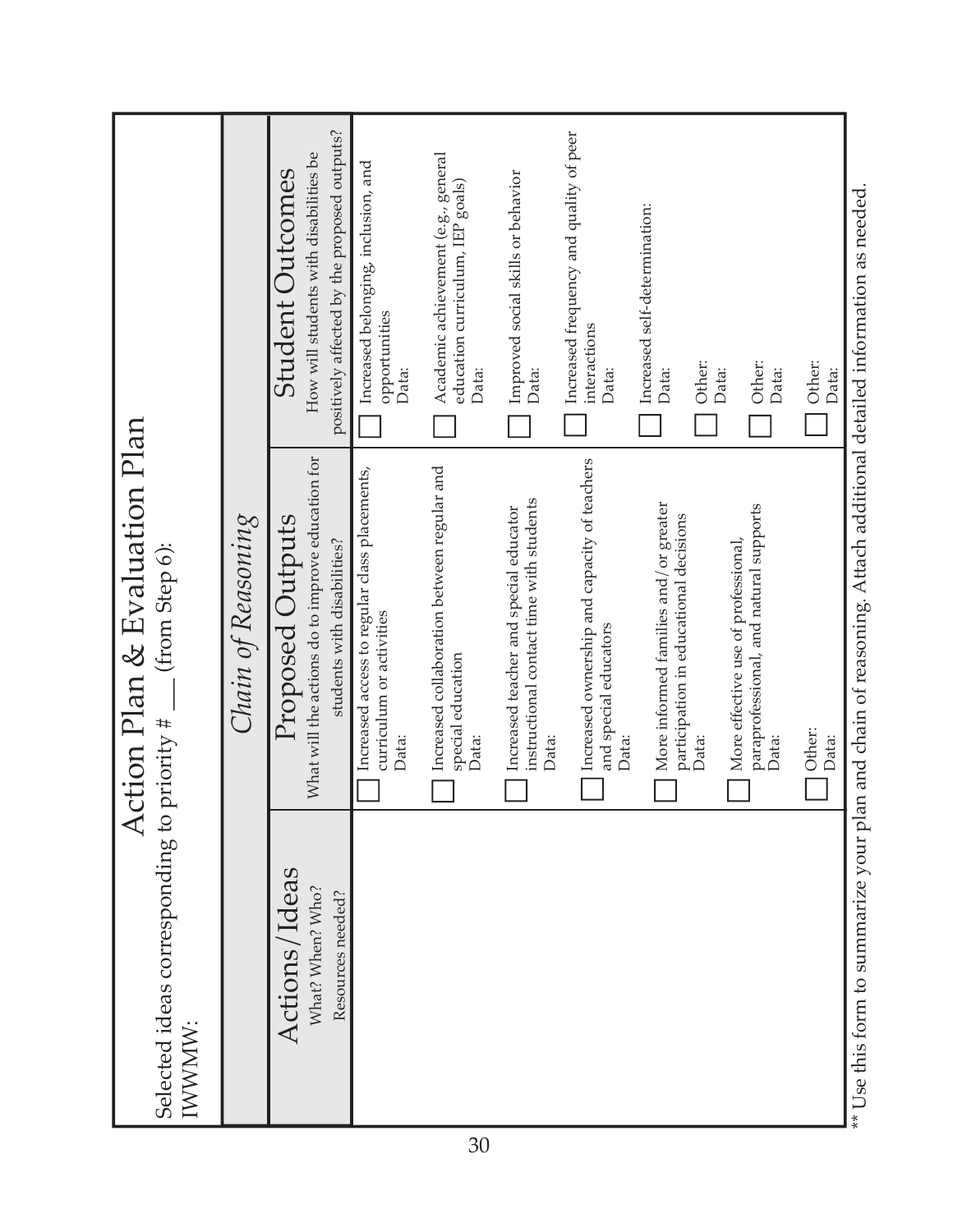| Selected ideas corresponding to priority $\#$ ___ (from Step 6):<br>IWWMW: | Action Plan & Evaluation Plan                                                                               |                                                                                                                   |
|----------------------------------------------------------------------------|-------------------------------------------------------------------------------------------------------------|-------------------------------------------------------------------------------------------------------------------|
|                                                                            | Chain of Reasoning                                                                                          |                                                                                                                   |
| Actions/Ideas<br>What? When? Who?<br>Resources needed?                     | What will the actions do to improve education for<br><b>Proposed Outputs</b><br>students with disabilities? | positively affected by the proposed outputs?<br>How will students with disabilities be<br><b>Student Outcomes</b> |
|                                                                            | Increased access to regular class placements,<br>curriculum or activities<br>Data:                          | Increased belonging, inclusion, and<br>opportunities<br>Data:                                                     |
|                                                                            | Increased collaboration between regular and<br>special education<br>Data:                                   | Academic achievement (e.g., general<br>education curriculum, IEP goals)<br>Data:                                  |
|                                                                            | instructional contact time with students<br>Increased teacher and special educator<br>Data:                 | Improved social skills or behavior<br>Data:                                                                       |
|                                                                            | Increased ownership and capacity of teachers<br>and special educators<br>Data:                              | Increased frequency and quality of peer<br>interactions<br>Data:                                                  |
|                                                                            | More informed families and/or greater<br>participation in educational decisions<br>Data:                    | Increased self-determination:<br>Other:<br>Data:                                                                  |
|                                                                            | paraprofessional, and natural supports<br>More effective use of professional,<br>Data:                      | Other:<br>Data:<br>Data:                                                                                          |
|                                                                            | Other:<br>Data:                                                                                             | Other:<br>Data:                                                                                                   |

\*\* Use this form to summarize your plan and chain of reasoning. Attach additional detailed information as needed. ά'⊧ ì į פוווז אפ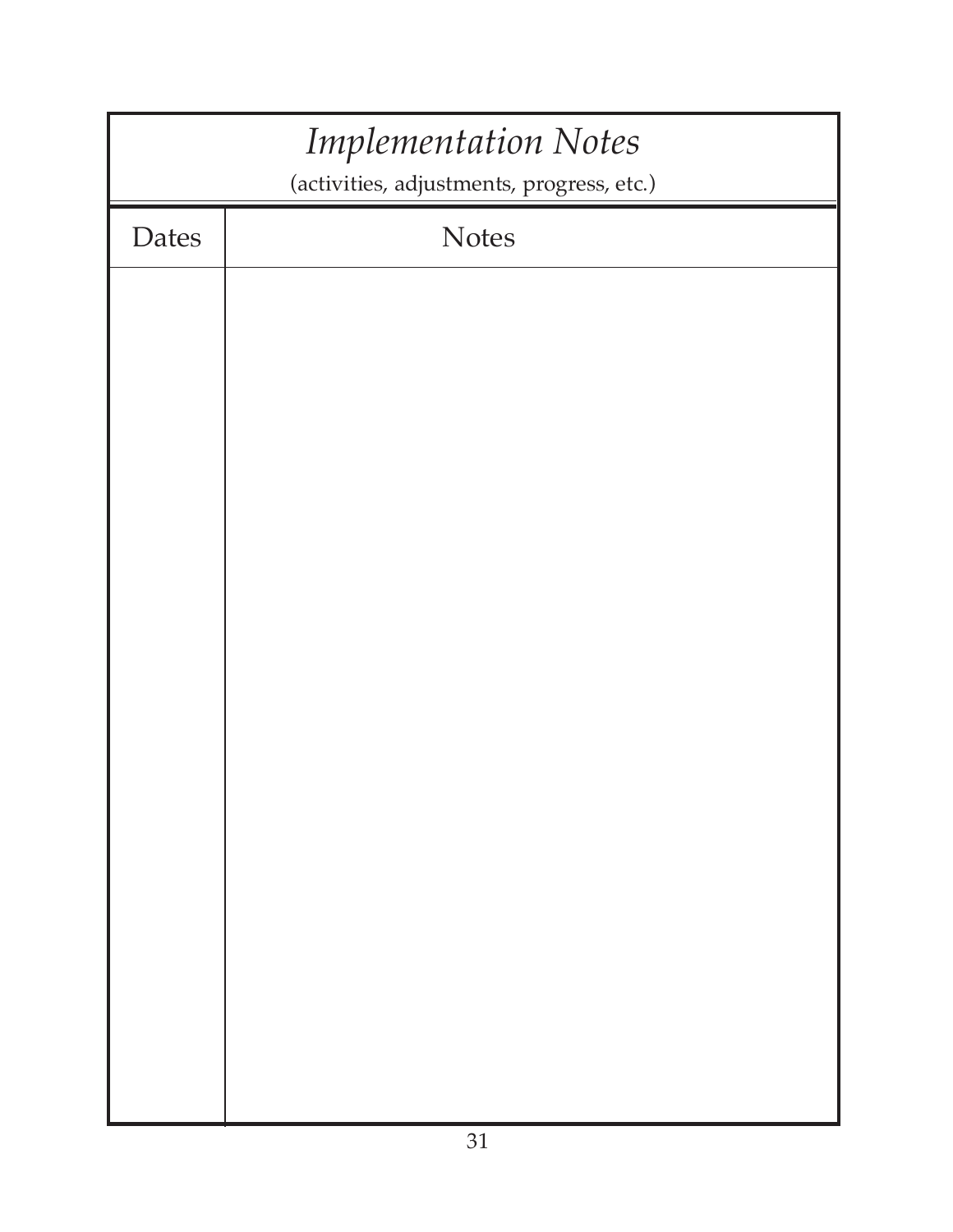|              | <b>Implementation Notes</b><br>(activities, adjustments, progress, etc.) |
|--------------|--------------------------------------------------------------------------|
| <b>Dates</b> | <b>Notes</b>                                                             |
|              |                                                                          |
|              |                                                                          |
|              |                                                                          |
|              |                                                                          |
|              |                                                                          |
|              |                                                                          |
|              |                                                                          |
|              |                                                                          |
|              |                                                                          |
|              |                                                                          |
|              |                                                                          |
|              |                                                                          |
|              |                                                                          |
|              |                                                                          |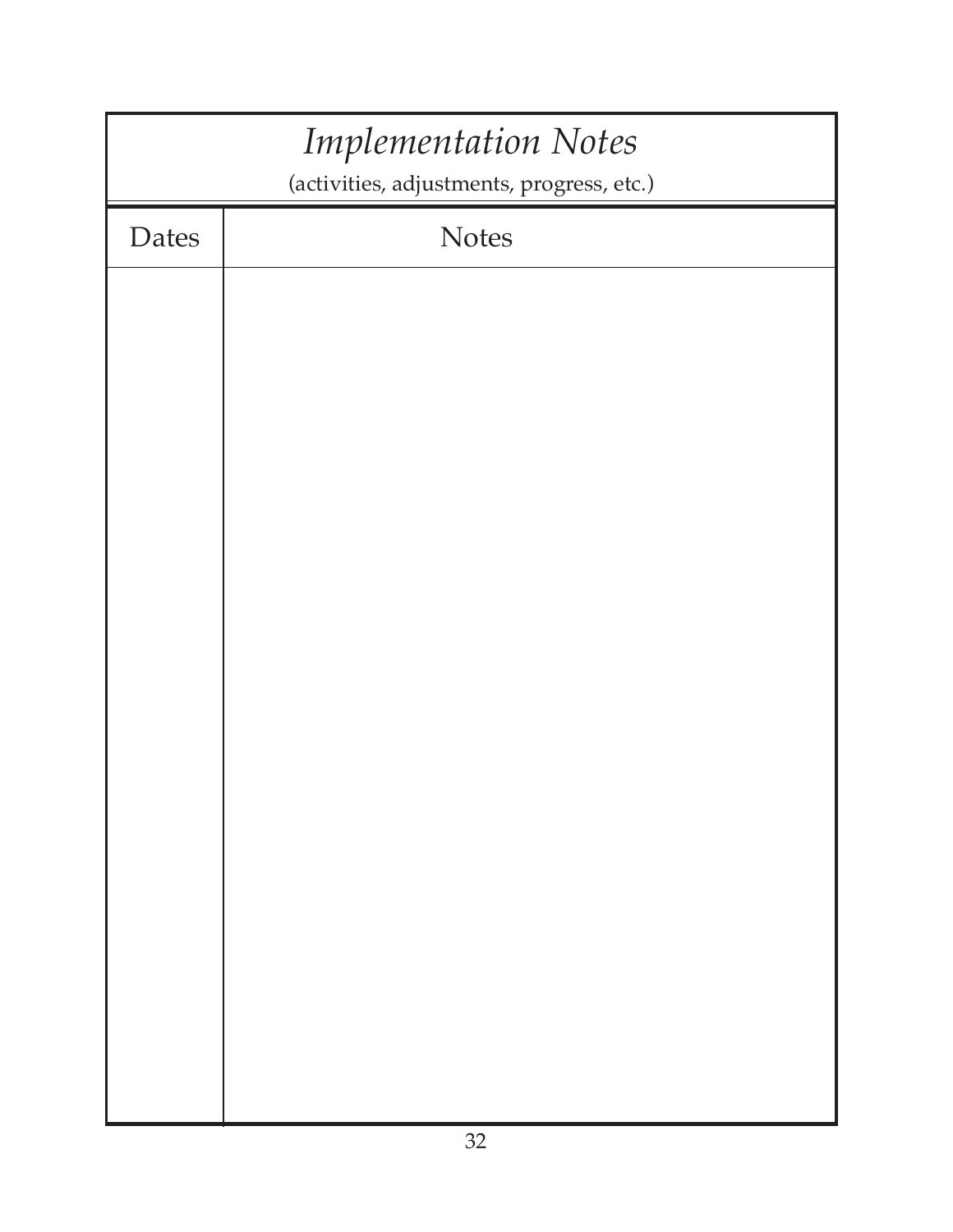|       | <b>Implementation Notes</b><br>(activities, adjustments, progress, etc.) |
|-------|--------------------------------------------------------------------------|
| Dates | <b>Notes</b>                                                             |
|       |                                                                          |
|       |                                                                          |
|       |                                                                          |
|       |                                                                          |
|       |                                                                          |
|       |                                                                          |
|       |                                                                          |
|       |                                                                          |
|       |                                                                          |
|       |                                                                          |
|       |                                                                          |
|       |                                                                          |
|       |                                                                          |
|       |                                                                          |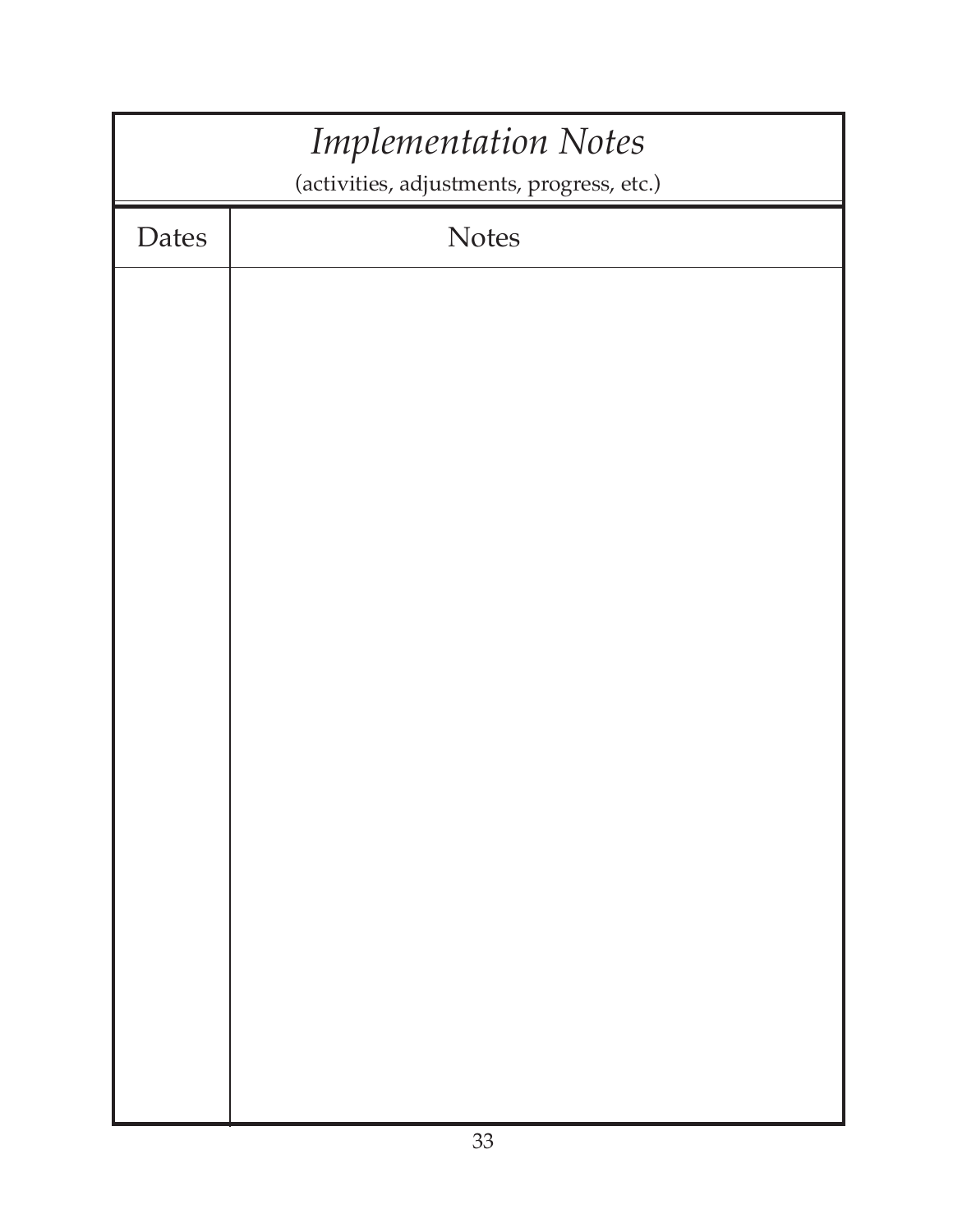|              | <b>Implementation Notes</b><br>(activities, adjustments, progress, etc.) |
|--------------|--------------------------------------------------------------------------|
| <b>Dates</b> | <b>Notes</b>                                                             |
|              |                                                                          |
|              |                                                                          |
|              |                                                                          |
|              |                                                                          |
|              |                                                                          |
|              |                                                                          |
|              |                                                                          |
|              |                                                                          |
|              |                                                                          |
|              |                                                                          |
|              |                                                                          |
|              |                                                                          |
|              |                                                                          |
|              |                                                                          |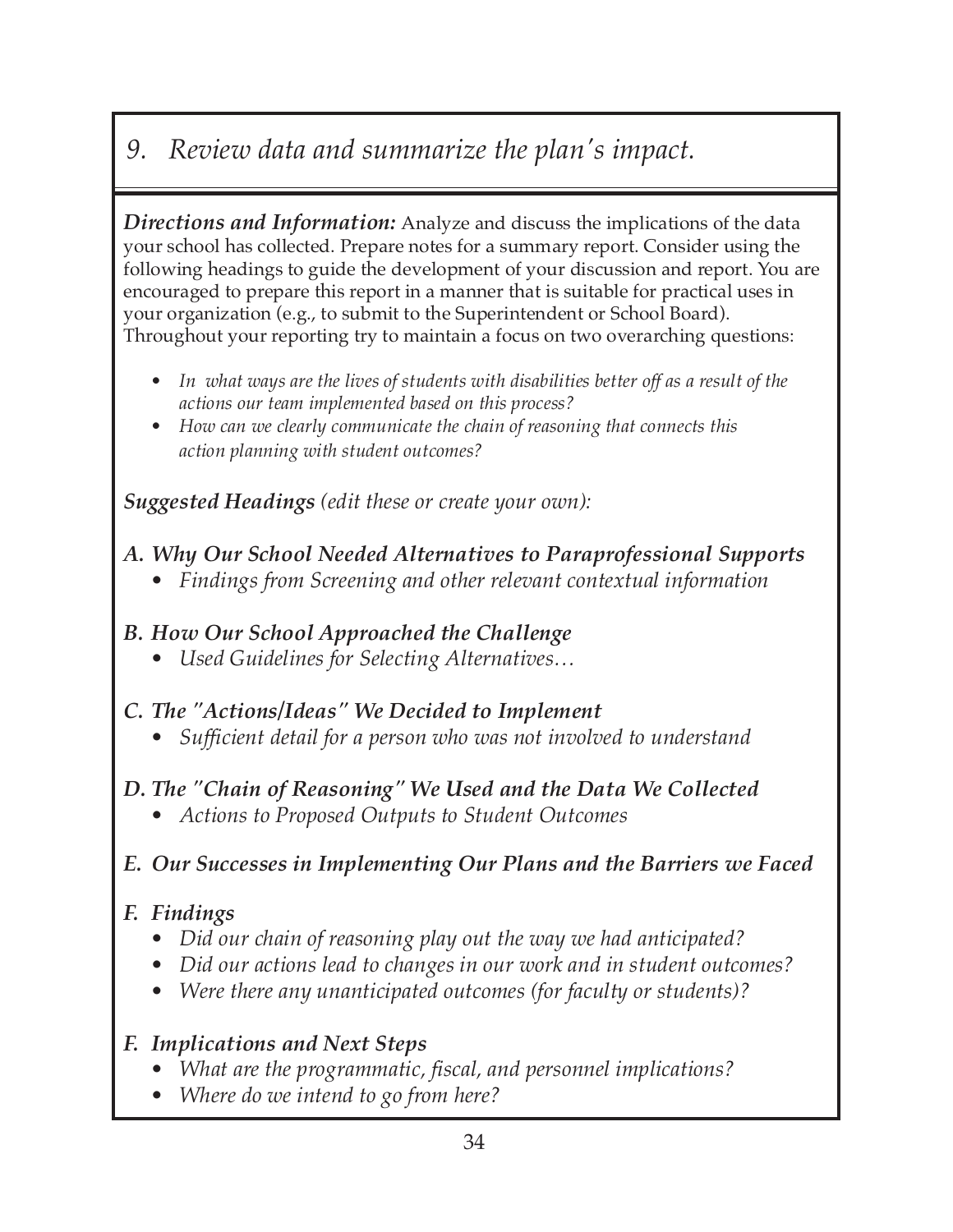# *9. Review data and summarize the plan's impact.*

*Directions and Information:* Analyze and discuss the implications of the data your school has collected. Prepare notes for a summary report. Consider using the following headings to guide the development of your discussion and report. You are encouraged to prepare this report in a manner that is suitable for practical uses in your organization (e.g., to submit to the Superintendent or School Board). Throughout your reporting try to maintain a focus on two overarching questions:

- *• In what ways are the lives of students with disabilities better off as a result of the actions our team implemented based on this process?*
- *• How can we clearly communicate the chain of reasoning that connects this action planning with student outcomes?*

*Suggested Headings (edit these or create your own):*

#### *A. Why Our School Needed Alternatives to Paraprofessional Supports*

*• Findings from Screening and other relevant contextual information*

#### *B. How Our School Approached the Challenge*

*• Used Guidelines for Selecting Alternatives…*

#### *C. The "Actions/Ideas" We Decided to Implement*

*• Sufficient detail for a person who was not involved to understand*

#### *D. The "Chain of Reasoning" We Used and the Data We Collected*

*• Actions to Proposed Outputs to Student Outcomes*

#### *E. Our Successes in Implementing Our Plans and the Barriers we Faced*

#### *F. Findings*

- *Did our chain of reasoning play out the way we had anticipated?*
- *Did our actions lead to changes in our work and in student outcomes?*
- *Were there any unanticipated outcomes (for faculty or students)?*

### *F. Implications and Next Steps*

- *What are the programmatic, fiscal, and personnel implications?*
- *Where do we intend to go from here?*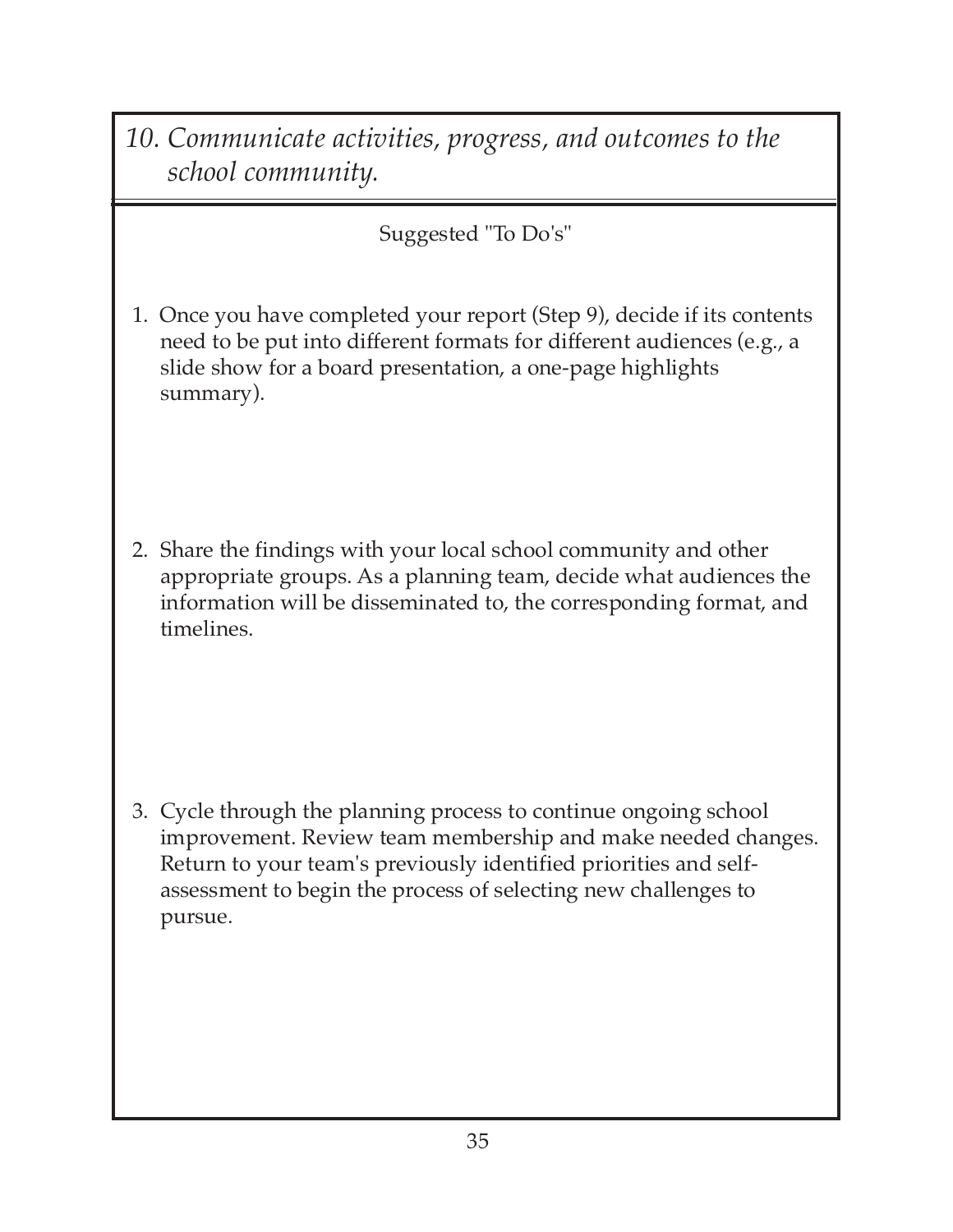*10. Communicate activities, progress, and outcomes to the school community.*

Suggested "To Do's"

1. Once you have completed your report (Step 9), decide if its contents need to be put into different formats for different audiences (e.g., a slide show for a board presentation, a one-page highlights summary).

2. Share the findings with your local school community and other appropriate groups. As a planning team, decide what audiences the information will be disseminated to, the corresponding format, and timelines.

3. Cycle through the planning process to continue ongoing school improvement. Review team membership and make needed changes. Return to your team's previously identified priorities and selfassessment to begin the process of selecting new challenges to pursue.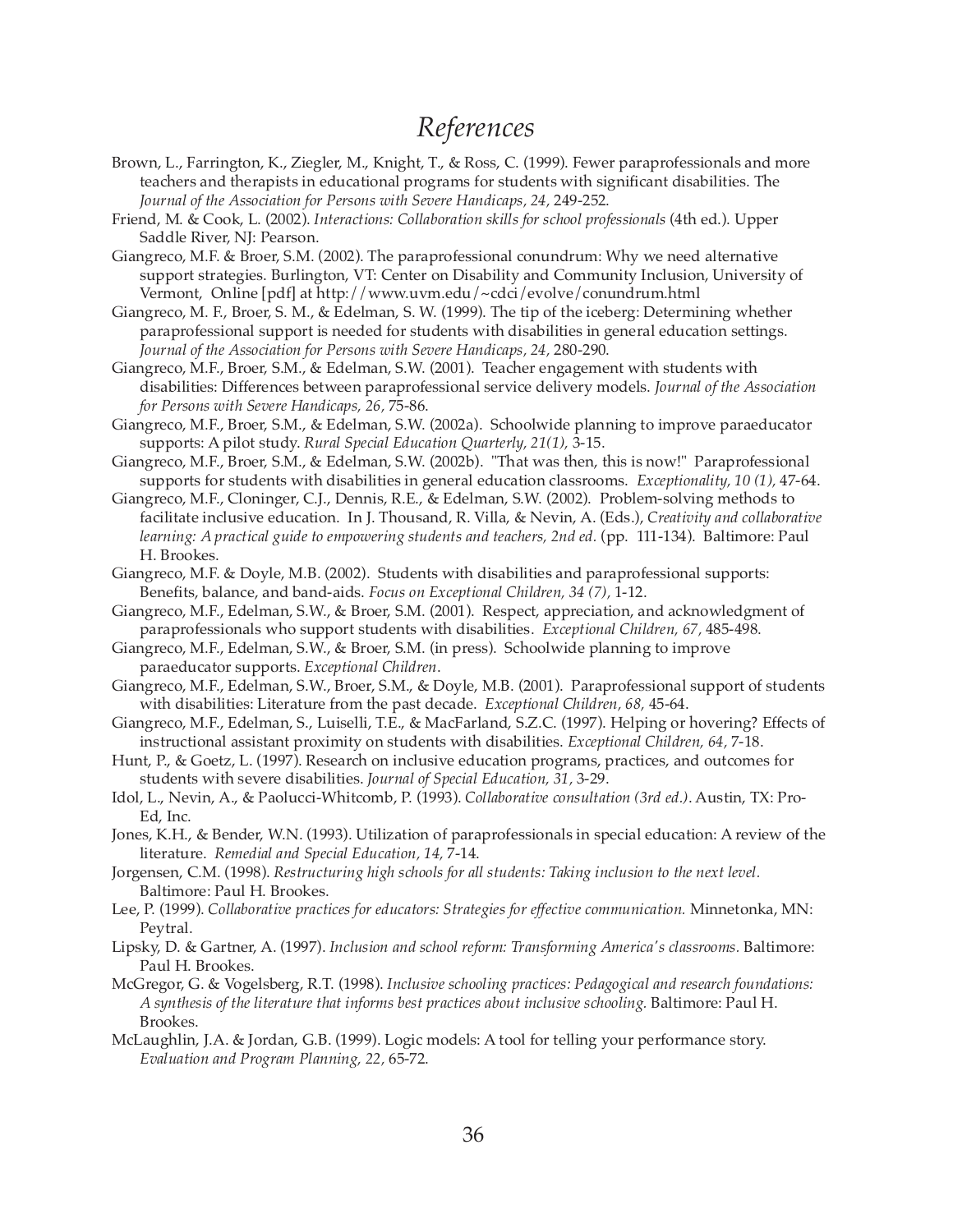#### *References*

- Brown, L., Farrington, K., Ziegler, M., Knight, T., & Ross, C. (1999). Fewer paraprofessionals and more teachers and therapists in educational programs for students with significant disabilities. The *Journal of the Association for Persons with Severe Handicaps, 24,* 249-252.
- Friend, M. & Cook, L. (2002). *Interactions: Collaboration skills for school professionals* (4th ed.). Upper Saddle River, NJ: Pearson.
- Giangreco, M.F. & Broer, S.M. (2002). The paraprofessional conundrum: Why we need alternative support strategies. Burlington, VT: Center on Disability and Community Inclusion, University of Vermont, Online [pdf] at http://www.uvm.edu/~cdci/evolve/conundrum.html
- Giangreco, M. F., Broer, S. M., & Edelman, S. W. (1999). The tip of the iceberg: Determining whether paraprofessional support is needed for students with disabilities in general education settings. *Journal of the Association for Persons with Severe Handicaps, 24,* 280-290.
- Giangreco, M.F., Broer, S.M., & Edelman, S.W. (2001). Teacher engagement with students with disabilities: Differences between paraprofessional service delivery models. *Journal of the Association for Persons with Severe Handicaps, 26,* 75-86.
- Giangreco, M.F., Broer, S.M., & Edelman, S.W. (2002a). Schoolwide planning to improve paraeducator supports: A pilot study. *Rural Special Education Quarterly, 21(1),* 3-15.
- Giangreco, M.F., Broer, S.M., & Edelman, S.W. (2002b). "That was then, this is now!" Paraprofessional supports for students with disabilities in general education classrooms. *Exceptionality, 10 (1),* 47-64.
- Giangreco, M.F., Cloninger, C.J., Dennis, R.E., & Edelman, S.W. (2002). Problem-solving methods to facilitate inclusive education. In J. Thousand, R. Villa, & Nevin, A. (Eds.), *Creativity and collaborative learning: A practical guide to empowering students and teachers, 2nd ed.* (pp. 111-134). Baltimore: Paul H. Brookes.
- Giangreco, M.F. & Doyle, M.B. (2002). Students with disabilities and paraprofessional supports: Benefits, balance, and band-aids. *Focus on Exceptional Children, 34 (7),* 1-12.
- Giangreco, M.F., Edelman, S.W., & Broer, S.M. (2001). Respect, appreciation, and acknowledgment of paraprofessionals who support students with disabilities. *Exceptional Children, 67,* 485-498.
- Giangreco, M.F., Edelman, S.W., & Broer, S.M. (in press). Schoolwide planning to improve paraeducator supports. *Exceptional Children*.
- Giangreco, M.F., Edelman, S.W., Broer, S.M., & Doyle, M.B. (2001). Paraprofessional support of students with disabilities: Literature from the past decade. *Exceptional Children, 68,* 45-64.
- Giangreco, M.F., Edelman, S., Luiselli, T.E., & MacFarland, S.Z.C. (1997). Helping or hovering? Effects of instructional assistant proximity on students with disabilities. *Exceptional Children, 64,* 7-18.
- Hunt, P., & Goetz, L. (1997). Research on inclusive education programs, practices, and outcomes for students with severe disabilities. *Journal of Special Education, 31,* 3-29.
- Idol, L., Nevin, A., & Paolucci-Whitcomb, P. (1993). *Collaborative consultation (3rd ed.)*. Austin, TX: Pro-Ed, Inc.
- Jones, K.H., & Bender, W.N. (1993). Utilization of paraprofessionals in special education: A review of the literature. *Remedial and Special Education, 14,* 7-14.
- Jorgensen, C.M. (1998). *Restructuring high schools for all students: Taking inclusion to the next level.* Baltimore: Paul H. Brookes.
- Lee, P. (1999). *Collaborative practices for educators: Strategies for effective communication.* Minnetonka, MN: Peytral.
- Lipsky, D. & Gartner, A. (1997). *Inclusion and school reform: Transforming America's classrooms.* Baltimore: Paul H. Brookes.
- McGregor, G. & Vogelsberg, R.T. (1998). *Inclusive schooling practices: Pedagogical and research foundations: A synthesis of the literature that informs best practices about inclusive schooling.* Baltimore: Paul H. Brookes.
- McLaughlin, J.A. & Jordan, G.B. (1999). Logic models: A tool for telling your performance story. *Evaluation and Program Planning, 22,* 65-72.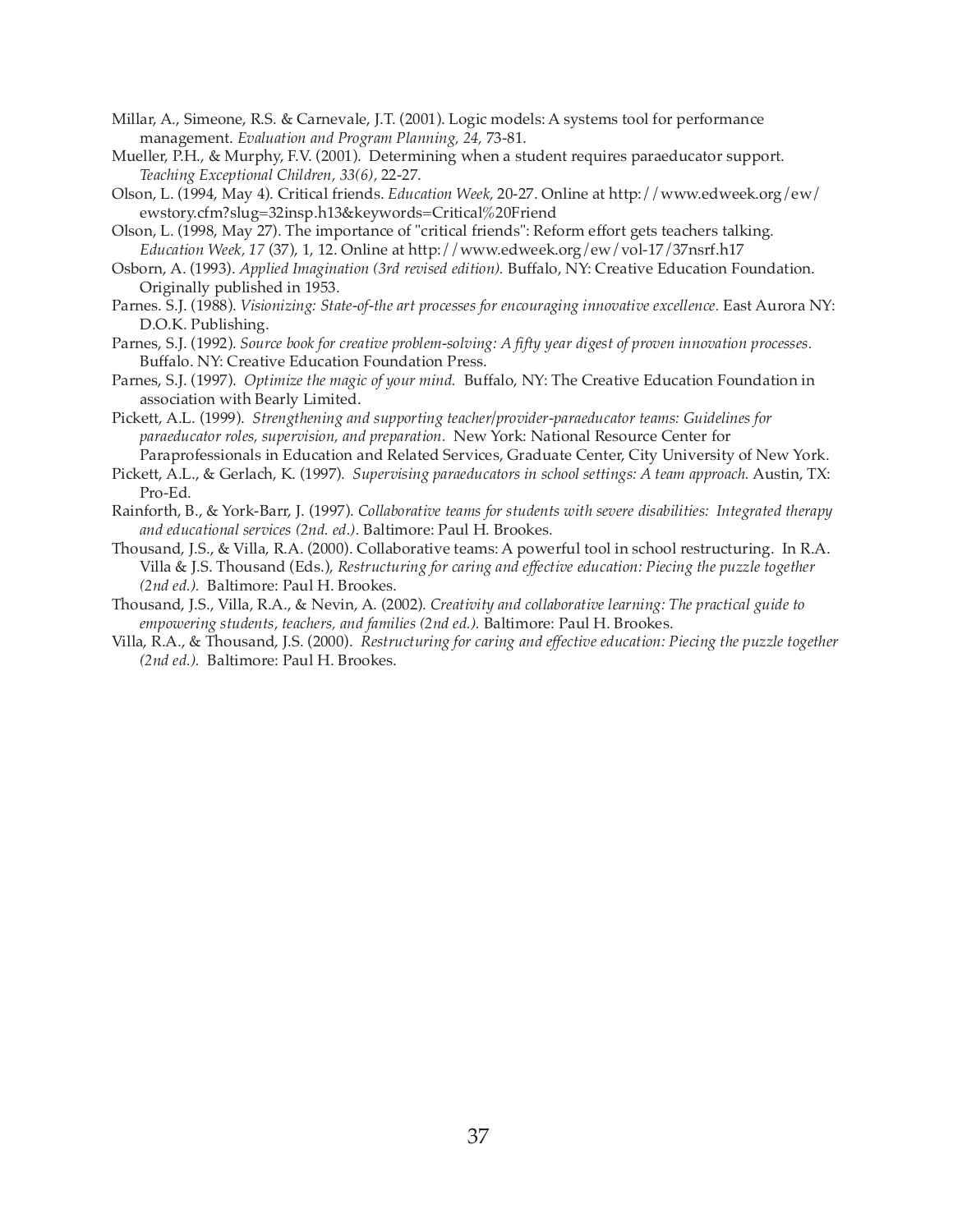- Millar, A., Simeone, R.S. & Carnevale, J.T. (2001). Logic models: A systems tool for performance management. *Evaluation and Program Planning, 24,* 73-81.
- Mueller, P.H., & Murphy, F.V. (2001). Determining when a student requires paraeducator support. *Teaching Exceptional Children, 33(6),* 22-27.
- Olson, L. (1994, May 4). Critical friends. *Education Week,* 20-27. Online at http://www.edweek.org/ew/ ewstory.cfm?slug=32insp.h13&keywords=Critical%20Friend
- Olson, L. (1998, May 27). The importance of "critical friends": Reform effort gets teachers talking. *Education Week, 17* (37), 1, 12. Online at http://www.edweek.org/ew/vol-17/37nsrf.h17
- Osborn, A. (1993). *Applied Imagination (3rd revised edition).* Buffalo, NY: Creative Education Foundation. Originally published in 1953.
- Parnes. S.J. (1988). *Visionizing: State-of-the art processes for encouraging innovative excellence.* East Aurora NY: D.O.K. Publishing.
- Parnes, S.J. (1992). *Source book for creative problem-solving: A fifty year digest of proven innovation processes.* Buffalo. NY: Creative Education Foundation Press.
- Parnes, S.J. (1997). *Optimize the magic of your mind.* Buffalo, NY: The Creative Education Foundation in association with Bearly Limited.
- Pickett, A.L. (1999). *Strengthening and supporting teacher/provider-paraeducator teams: Guidelines for paraeducator roles, supervision, and preparation.* New York: National Resource Center for
- Paraprofessionals in Education and Related Services, Graduate Center, City University of New York. Pickett, A.L., & Gerlach, K. (1997). *Supervising paraeducators in school settings: A team approach.* Austin, TX: Pro-Ed.
- Rainforth, B., & York-Barr, J. (1997). *Collaborative teams for students with severe disabilities: Integrated therapy and educational services (2nd. ed.).* Baltimore: Paul H. Brookes.
- Thousand, J.S., & Villa, R.A. (2000). Collaborative teams: A powerful tool in school restructuring. In R.A. Villa & J.S. Thousand (Eds.), *Restructuring for caring and effective education: Piecing the puzzle together (2nd ed.).* Baltimore: Paul H. Brookes.
- Thousand, J.S., Villa, R.A., & Nevin, A. (2002). *Creativity and collaborative learning: The practical guide to empowering students, teachers, and families (2nd ed.).* Baltimore: Paul H. Brookes.
- Villa, R.A., & Thousand, J.S. (2000). *Restructuring for caring and effective education: Piecing the puzzle together (2nd ed.).* Baltimore: Paul H. Brookes.